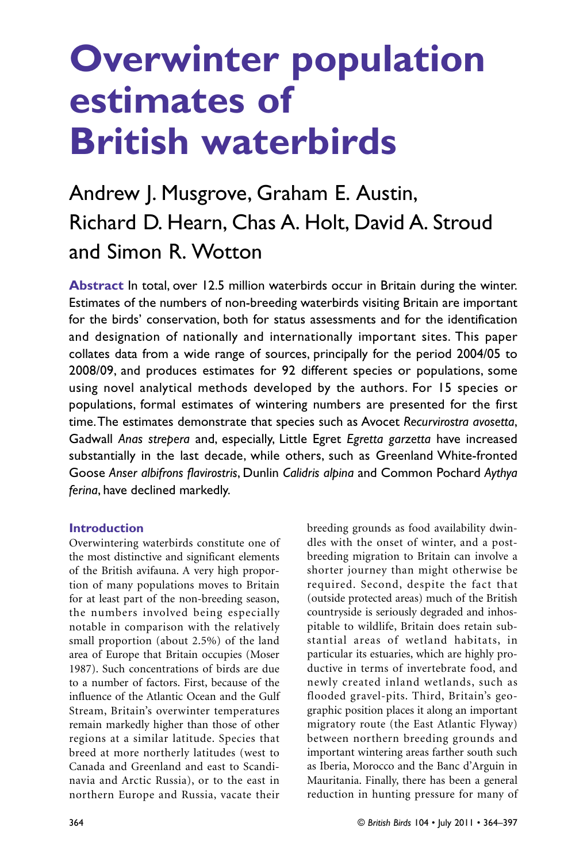## Andrew J. Musgrove, Graham E. Austin, Richard D. Hearn, Chas A. Holt, David A. Stroud and Simon R. Wotton

**Abstract** In total, over 12.5 million waterbirds occur in Britain during the winter. Estimates of the numbers of non-breeding waterbirds visiting Britain are important for the birds' conservation, both for status assessments and for the identification and designation of nationally and internationally important sites. This paper collates data from a wide range of sources, principally for the period 2004/05 to 2008/09, and produces estimates for 92 different species or populations, some using novel analytical methods developed by the authors. For 15 species or populations, formal estimates of wintering numbers are presented for the first time.The estimates demonstrate that species such as Avocet *Recurvirostra avosetta*, Gadwall *Anas strepera* and, especially, Little Egret *Egretta garzetta* have increased substantially in the last decade, while others, such as Greenland White-fronted Goose *Anser albifrons flavirostris*, Dunlin *Calidris alpina* and Common Pochard *Aythya ferina*, have declined markedly.

#### **Introduction**

Overwintering waterbirds constitute one of the most distinctive and significant elements of the British avifauna. A very high proportion of many populations moves to Britain for at least part of the non-breeding season, the numbers involved being especially notable in comparison with the relatively small proportion (about 2.5%) of the land area of Europe that Britain occupies (Moser 1987). Such concentrations of birds are due to a number of factors. First, because of the influence of the Atlantic Ocean and the Gulf Stream, Britain's overwinter temperatures remain markedly higher than those of other regions at a similar latitude. Species that breed at more northerly latitudes (west to Canada and Greenland and east to Scandinavia and Arctic Russia), or to the east in northern Europe and Russia, vacate their breeding grounds as food availability dwindles with the onset of winter, and a postbreeding migration to Britain can involve a shorter journey than might otherwise be required. Second, despite the fact that (outside protected areas) much of the British countryside is seriously degraded and inhospitable to wildlife, Britain does retain substantial areas of wetland habitats, in particular its estuaries, which are highly productive in terms of invertebrate food, and newly created inland wetlands, such as flooded gravel-pits. Third, Britain's geographic position places it along an important migratory route (the East Atlantic Flyway) between northern breeding grounds and important wintering areas farther south such as Iberia, Morocco and the Banc d'Arguin in Mauritania. Finally, there has been a general reduction in hunting pressure for many of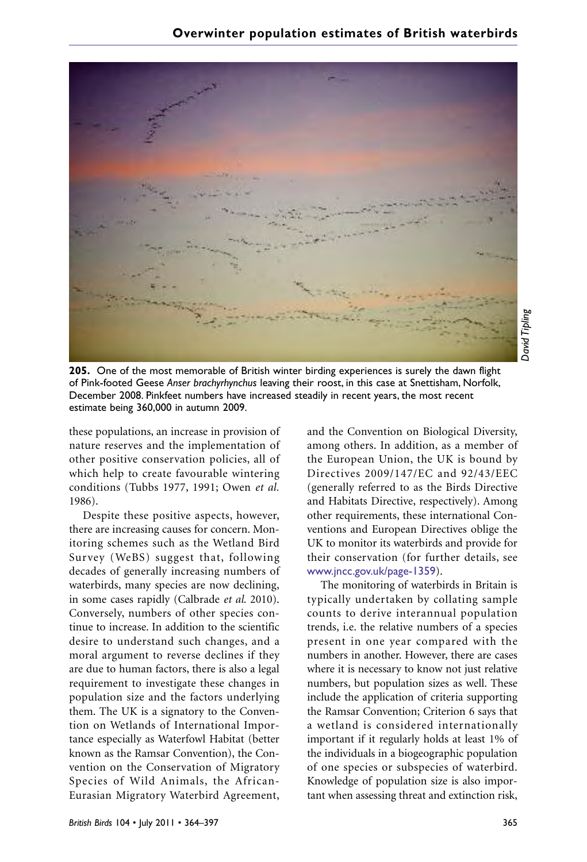

**205.** One of the most memorable of British winter birding experiences is surely the dawn flight of Pink-footed Geese *Anser brachyrhynchus* leaving their roost, in this case at Snettisham, Norfolk, December 2008. Pinkfeet numbers have increased steadily in recent years, the most recent estimate being 360,000 in autumn 2009.

these populations, an increase in provision of nature reserves and the implementation of other positive conservation policies, all of which help to create favourable wintering conditions (Tubbs 1977, 1991; Owen *et al.* 1986).

Despite these positive aspects, however, there are increasing causes for concern. Monitoring schemes such as the Wetland Bird Survey (WeBS) suggest that, following decades of generally increasing numbers of waterbirds, many species are now declining, in some cases rapidly (Calbrade *et al.* 2010). Conversely, numbers of other species continue to increase. In addition to the scientific desire to understand such changes, and a moral argument to reverse declines if they are due to human factors, there is also a legal requirement to investigate these changes in population size and the factors underlying them. The UK is a signatory to the Convention on Wetlands of International Importance especially as Waterfowl Habitat (better known as the Ramsar Convention), the Convention on the Conservation of Migratory Species of Wild Animals, the African-Eurasian Migratory Waterbird Agreement,

and the Convention on Biological Diversity, among others. In addition, as a member of the European Union, the UK is bound by Directives 2009/147/EC and 92/43/EEC (generally referred to as the Birds Directive and Habitats Directive, respectively). Among other requirements, these international Conventions and European Directives oblige the UK to monitor its waterbirds and provide for their conservation (for further details, see www.jncc.gov.uk/page-1359).

The monitoring of waterbirds in Britain is typically undertaken by collating sample counts to derive interannual population trends, i.e. the relative numbers of a species present in one year compared with the numbers in another. However, there are cases where it is necessary to know not just relative numbers, but population sizes as well. These include the application of criteria supporting the Ramsar Convention; Criterion 6 says that a wetland is considered internationally important if it regularly holds at least 1% of the individuals in a biogeographic population of one species or subspecies of waterbird. Knowledge of population size is also important when assessing threat and extinction risk,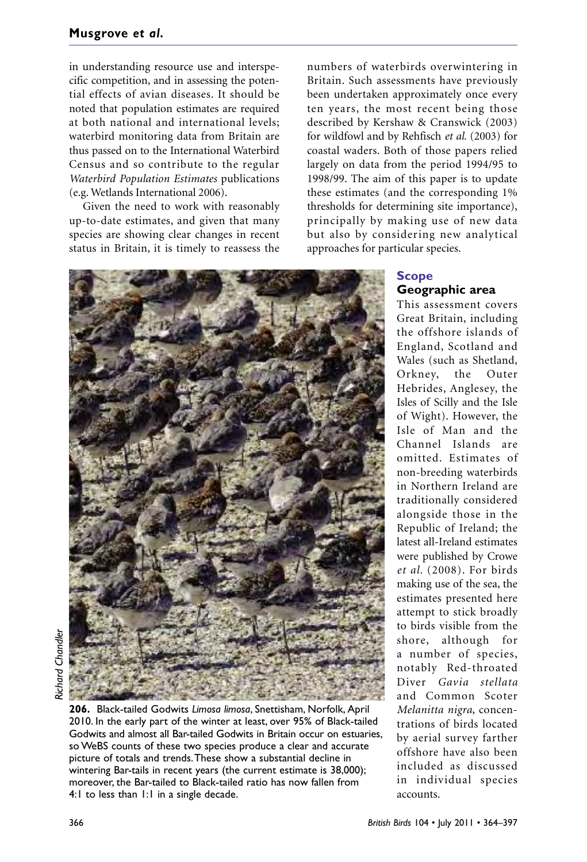in understanding resource use and interspecific competition, and in assessing the potential effects of avian diseases. It should be noted that population estimates are required at both national and international levels; waterbird monitoring data from Britain are thus passed on to the International Waterbird Census and so contribute to the regular *Waterbird Population Estimates* publications (e.g. Wetlands International 2006).

Given the need to work with reasonably up-to-date estimates, and given that many species are showing clear changes in recent status in Britain, it is timely to reassess the

numbers of waterbirds overwintering in Britain. Such assessments have previously been undertaken approximately once every ten years, the most recent being those described by Kershaw & Cranswick (2003) for wildfowl and by Rehfisch *et al.* (2003) for coastal waders. Both of those papers relied largely on data from the period 1994/95 to 1998/99. The aim of this paper is to update these estimates (and the corresponding 1% thresholds for determining site importance), principally by making use of new data but also by considering new analytical approaches for particular species.



## *Richard Chandler*Richard Chandle

**206.** Black-tailed Godwits *Limosa limosa*, Snettisham, Norfolk, April 2010. In the early part of the winter at least, over 95% of Black-tailed Godwits and almost all Bar-tailed Godwits in Britain occur on estuaries, so WeBS counts of these two species produce a clear and accurate picture of totals and trends.These show a substantial decline in wintering Bar-tails in recent years (the current estimate is 38,000); moreover, the Bar-tailed to Black-tailed ratio has now fallen from 4:1 to less than 1:1 in a single decade.

### **Scope Geographic area**

This assessment covers Great Britain, including the offshore islands of England, Scotland and Wales (such as Shetland, Orkney, the Outer Hebrides, Anglesey, the Isles of Scilly and the Isle of Wight). However, the Isle of Man and the Channel Islands are omitted. Estimates of non-breeding waterbirds in Northern Ireland are traditionally considered alongside those in the Republic of Ireland; the latest all-Ireland estimates were published by Crowe *et al.* (2008). For birds making use of the sea, the estimates presented here attempt to stick broadly to birds visible from the shore, although for a number of species, notably Red-throated Diver *Gavia stellata* and Common Scoter *Melanitta nigra*, concentrations of birds located by aerial survey farther offshore have also been included as discussed in individual species accounts.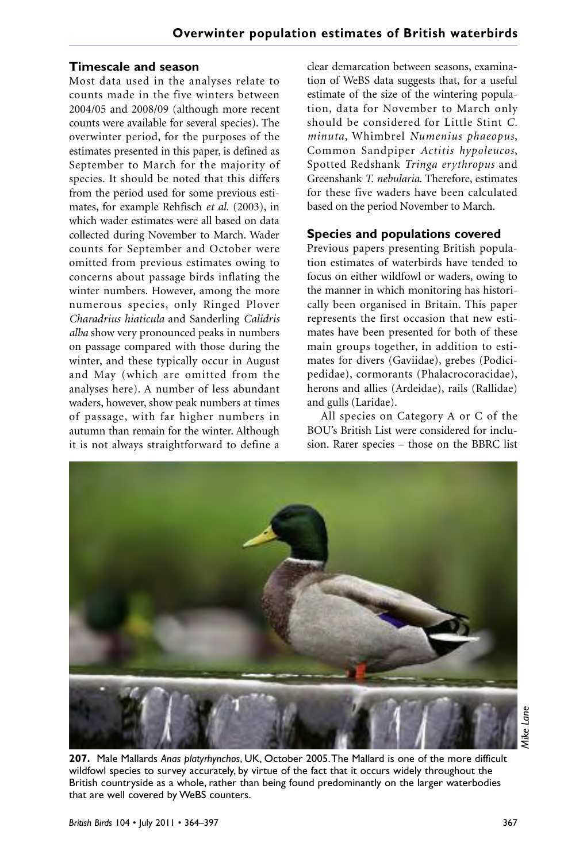#### **Timescale and season**

Most data used in the analyses relate to counts made in the five winters between 2004/05 and 2008/09 (although more recent counts were available for several species). The overwinter period, for the purposes of the estimates presented in this paper, is defined as September to March for the majority of species. It should be noted that this differs from the period used for some previous estimates, for example Rehfisch *et al.* (2003), in which wader estimates were all based on data collected during November to March. Wader counts for September and October were omitted from previous estimates owing to concerns about passage birds inflating the winter numbers. However, among the more numerous species, only Ringed Plover *Charadrius hiaticula* and Sanderling *Calidris alba* show very pronounced peaks in numbers on passage compared with those during the winter, and these typically occur in August and May (which are omitted from the analyses here). A number of less abundant waders, however, show peak numbers at times of passage, with far higher numbers in autumn than remain for the winter. Although it is not always straightforward to define a

clear demarcation between seasons, examination of WeBS data suggests that, for a useful estimate of the size of the wintering population, data for November to March only should be considered for Little Stint *C. minuta*, Whimbrel *Numenius phaeopus*, Common Sandpiper *Actitis hypoleucos*, Spotted Redshank *Tringa erythropus* and Greenshank *T. nebularia*. Therefore, estimates for these five waders have been calculated based on the period November to March.

#### **Species and populations covered**

Previous papers presenting British population estimates of waterbirds have tended to focus on either wildfowl or waders, owing to the manner in which monitoring has historically been organised in Britain. This paper represents the first occasion that new estimates have been presented for both of these main groups together, in addition to estimates for divers (Gaviidae), grebes (Podicipedidae), cormorants (Phalacrocoracidae), herons and allies (Ardeidae), rails (Rallidae) and gulls (Laridae).

All species on Category A or C of the BOU's British List were considered for inclusion. Rarer species – those on the BBRC list



Viike Lane *Mike Lane*

**207.** Male Mallards *Anas platyrhynchos*, UK, October 2005.The Mallard is one of the more difficult wildfowl species to survey accurately, by virtue of the fact that it occurs widely throughout the British countryside as a whole, rather than being found predominantly on the larger waterbodies that are well covered by WeBS counters.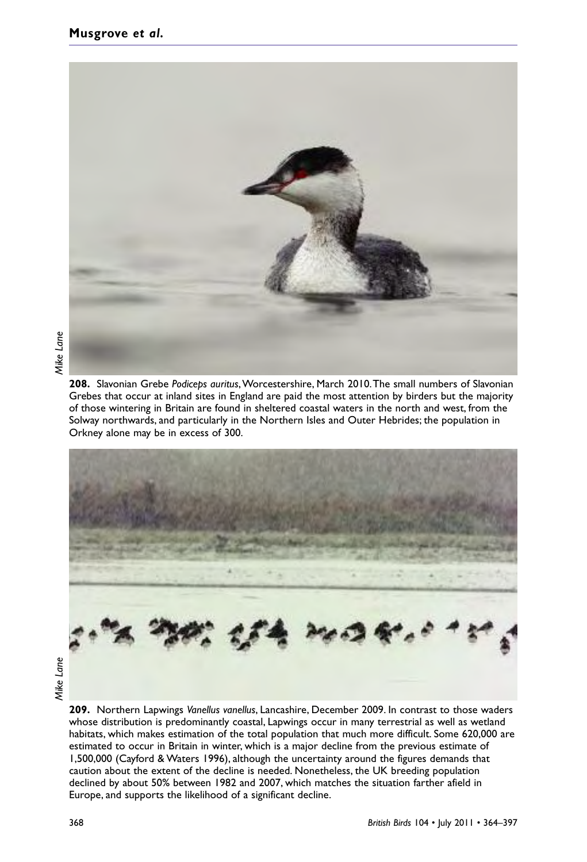

Grebes that occur at inland sites in England are paid the most attention by birders but the majority of those wintering in Britain are found in sheltered coastal waters in the north and west, from the Solway northwards, and particularly in the Northern Isles and Outer Hebrides; the population in Orkney alone may be in excess of 300.



**209.** Northern Lapwings *Vanellus vanellus*, Lancashire, December 2009. In contrast to those waders whose distribution is predominantly coastal, Lapwings occur in many terrestrial as well as wetland habitats, which makes estimation of the total population that much more difficult. Some 620,000 are estimated to occur in Britain in winter, which is a major decline from the previous estimate of 1,500,000 (Cayford & Waters 1996), although the uncertainty around the figures demands that caution about the extent of the decline is needed. Nonetheless, the UK breeding population declined by about 50% between 1982 and 2007, which matches the situation farther afield in Europe, and supports the likelihood of a significant decline.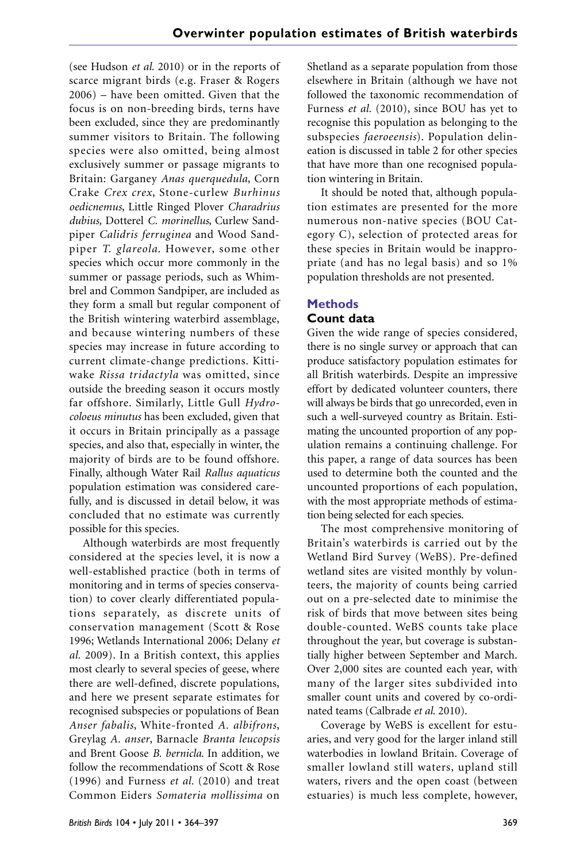(see Hudson *et al.* 2010) or in the reports of scarce migrant birds (e.g. Fraser & Rogers 2006) – have been omitted. Given that the focus is on non-breeding birds, terns have been excluded, since they are predominantly summer visitors to Britain. The following species were also omitted, being almost exclusively summer or passage migrants to Britain: Garganey *Anas querquedula*, Corn Crake *Crex crex*, Stone-curlew *Burhinus oedicnemus*, Little Ringed Plover *Charadrius dubius,* Dotterel *C. morinellus*, Curlew Sandpiper *Calidris ferruginea* and Wood Sandpiper *T. glareola*. However, some other species which occur more commonly in the summer or passage periods, such as Whimbrel and Common Sandpiper, are included as they form a small but regular component of the British wintering waterbird assemblage, and because wintering numbers of these species may increase in future according to current climate-change predictions. Kittiwake *Rissa tridactyla* was omitted, since outside the breeding season it occurs mostly far offshore. Similarly, Little Gull *Hydrocoloeus minutus* has been excluded, given that it occurs in Britain principally as a passage species, and also that, especially in winter, the majority of birds are to be found offshore. Finally, although Water Rail *Rallus aquaticus* population estimation was considered carefully, and is discussed in detail below, it was concluded that no estimate was currently possible for this species.

Although waterbirds are most frequently considered at the species level, it is now a well-established practice (both in terms of monitoring and in terms of species conservation) to cover clearly differentiated populations separately, as discrete units of conservation management (Scott & Rose 1996; Wetlands International 2006; Delany *et al.* 2009). In a British context, this applies most clearly to several species of geese, where there are well-defined, discrete populations, and here we present separate estimates for recognised subspecies or populations of Bean *Anser fabalis*, White-fronted *A. albifrons*, Greylag *A. anser*, Barnacle *Branta leucopsis* and Brent Goose *B. bernicla*. In addition, we follow the recommendations of Scott & Rose (1996) and Furness *et al.* (2010) and treat Common Eiders *Somateria mollissima* on

Shetland as a separate population from those elsewhere in Britain (although we have not followed the taxonomic recommendation of Furness *et al.* (2010), since BOU has yet to recognise this population as belonging to the subspecies *faeroeensis*). Population delineation is discussed in table 2 for other species that have more than one recognised population wintering in Britain.

It should be noted that, although population estimates are presented for the more numerous non-native species (BOU Category C), selection of protected areas for these species in Britain would be inappropriate (and has no legal basis) and so 1% population thresholds are not presented.

#### **Methods Count data**

Given the wide range of species considered, there is no single survey or approach that can produce satisfactory population estimates for all British waterbirds. Despite an impressive effort by dedicated volunteer counters, there will always be birds that go unrecorded, even in such a well-surveyed country as Britain. Estimating the uncounted proportion of any population remains a continuing challenge. For this paper, a range of data sources has been used to determine both the counted and the uncounted proportions of each population, with the most appropriate methods of estimation being selected for each species.

The most comprehensive monitoring of Britain's waterbirds is carried out by the Wetland Bird Survey (WeBS). Pre-defined wetland sites are visited monthly by volunteers, the majority of counts being carried out on a pre-selected date to minimise the risk of birds that move between sites being double-counted. WeBS counts take place throughout the year, but coverage is substantially higher between September and March. Over 2,000 sites are counted each year, with many of the larger sites subdivided into smaller count units and covered by co-ordinated teams (Calbrade *et al.* 2010).

Coverage by WeBS is excellent for estuaries, and very good for the larger inland still waterbodies in lowland Britain. Coverage of smaller lowland still waters, upland still waters, rivers and the open coast (between estuaries) is much less complete, however,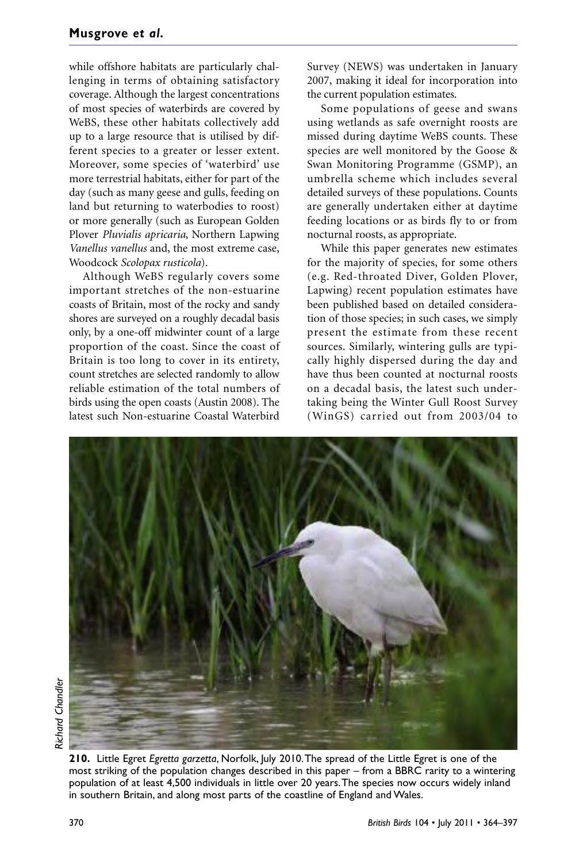while offshore habitats are particularly challenging in terms of obtaining satisfactory coverage. Although the largest concentrations of most species of waterbirds are covered by WeBS, these other habitats collectively add up to a large resource that is utilised by different species to a greater or lesser extent. Moreover, some species of 'waterbird' use more terrestrial habitats, either for part of the day (such as many geese and gulls, feeding on land but returning to waterbodies to roost) or more generally (such as European Golden Plover *Pluvialis apricaria*, Northern Lapwing *Vanellus vanellus* and, the most extreme case, Woodcock *Scolopax rusticola*).

Although WeBS regularly covers some important stretches of the non-estuarine coasts of Britain, most of the rocky and sandy shores are surveyed on a roughly decadal basis only, by a one-off midwinter count of a large proportion of the coast. Since the coast of Britain is too long to cover in its entirety, count stretches are selected randomly to allow reliable estimation of the total numbers of birds using the open coasts (Austin 2008). The latest such Non-estuarine Coastal Waterbird

Survey (NEWS) was undertaken in January 2007, making it ideal for incorporation into the current population estimates.

Some populations of geese and swans using wetlands as safe overnight roosts are missed during daytime WeBS counts. These species are well monitored by the Goose & Swan Monitoring Programme (GSMP), an umbrella scheme which includes several detailed surveys of these populations. Counts are generally undertaken either at daytime feeding locations or as birds fly to or from nocturnal roosts, as appropriate.

While this paper generates new estimates for the majority of species, for some others (e.g. Red-throated Diver, Golden Plover, Lapwing) recent population estimates have been published based on detailed consideration of those species; in such cases, we simply present the estimate from these recent sources. Similarly, wintering gulls are typically highly dispersed during the day and have thus been counted at nocturnal roosts on a decadal basis, the latest such undertaking being the Winter Gull Roost Survey (WinGS) carried out from 2003/04 to



**210.** Little Egret *Egretta garzetta*, Norfolk, July 2010.The spread of the Little Egret is one of the most striking of the population changes described in this paper – from a BBRC rarity to a wintering population of at least 4,500 individuals in little over 20 years.The species now occurs widely inland in southern Britain, and along most parts of the coastline of England and Wales.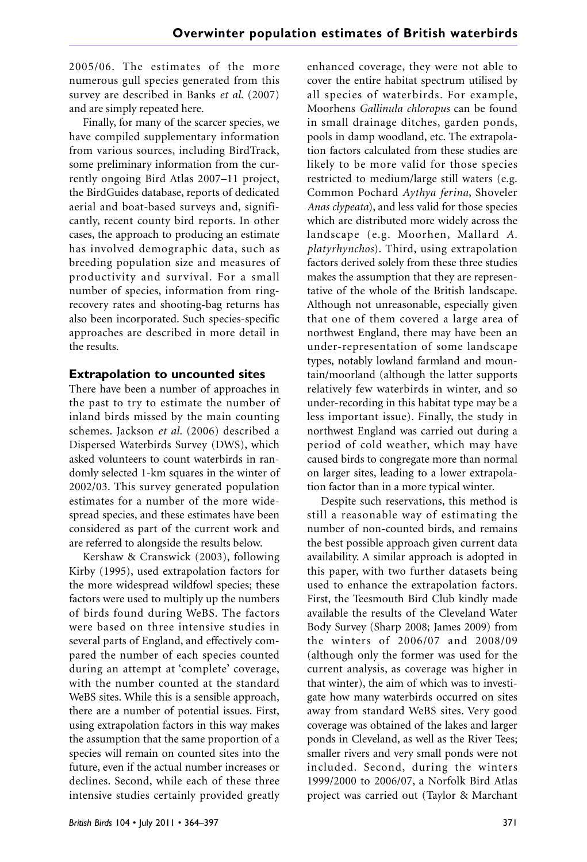2005/06. The estimates of the more numerous gull species generated from this survey are described in Banks *et al.* (2007) and are simply repeated here.

Finally, for many of the scarcer species, we have compiled supplementary information from various sources, including BirdTrack, some preliminary information from the currently ongoing Bird Atlas 2007–11 project, the BirdGuides database, reports of dedicated aerial and boat-based surveys and, significantly, recent county bird reports. In other cases, the approach to producing an estimate has involved demographic data, such as breeding population size and measures of productivity and survival. For a small number of species, information from ringrecovery rates and shooting-bag returns has also been incorporated. Such species-specific approaches are described in more detail in the results.

## **Extrapolation to uncounted sites**

There have been a number of approaches in the past to try to estimate the number of inland birds missed by the main counting schemes. Jackson *et al.* (2006) described a Dispersed Waterbirds Survey (DWS), which asked volunteers to count waterbirds in randomly selected 1-km squares in the winter of 2002/03. This survey generated population estimates for a number of the more widespread species, and these estimates have been considered as part of the current work and are referred to alongside the results below.

Kershaw & Cranswick (2003), following Kirby (1995), used extrapolation factors for the more widespread wildfowl species; these factors were used to multiply up the numbers of birds found during WeBS. The factors were based on three intensive studies in several parts of England, and effectively compared the number of each species counted during an attempt at 'complete' coverage, with the number counted at the standard WeBS sites. While this is a sensible approach, there are a number of potential issues. First, using extrapolation factors in this way makes the assumption that the same proportion of a species will remain on counted sites into the future, even if the actual number increases or declines. Second, while each of these three intensive studies certainly provided greatly

enhanced coverage, they were not able to cover the entire habitat spectrum utilised by all species of waterbirds. For example, Moorhens *Gallinula chloropus* can be found in small drainage ditches, garden ponds, pools in damp woodland, etc. The extrapolation factors calculated from these studies are likely to be more valid for those species restricted to medium/large still waters (e.g. Common Pochard *Aythya ferina*, Shoveler *Anas clypeata*), and less valid for those species which are distributed more widely across the landscape (e.g. Moorhen, Mallard *A. platyrhynchos*). Third, using extrapolation factors derived solely from these three studies makes the assumption that they are representative of the whole of the British landscape. Although not unreasonable, especially given that one of them covered a large area of northwest England, there may have been an under-representation of some landscape types, notably lowland farmland and mountain/moorland (although the latter supports relatively few waterbirds in winter, and so under-recording in this habitat type may be a less important issue). Finally, the study in northwest England was carried out during a period of cold weather, which may have caused birds to congregate more than normal on larger sites, leading to a lower extrapolation factor than in a more typical winter.

Despite such reservations, this method is still a reasonable way of estimating the number of non-counted birds, and remains the best possible approach given current data availability. A similar approach is adopted in this paper, with two further datasets being used to enhance the extrapolation factors. First, the Teesmouth Bird Club kindly made available the results of the Cleveland Water Body Survey (Sharp 2008; James 2009) from the winters of 2006/07 and 2008/09 (although only the former was used for the current analysis, as coverage was higher in that winter), the aim of which was to investigate how many waterbirds occurred on sites away from standard WeBS sites. Very good coverage was obtained of the lakes and larger ponds in Cleveland, as well as the River Tees; smaller rivers and very small ponds were not included. Second, during the winters 1999/2000 to 2006/07, a Norfolk Bird Atlas project was carried out (Taylor & Marchant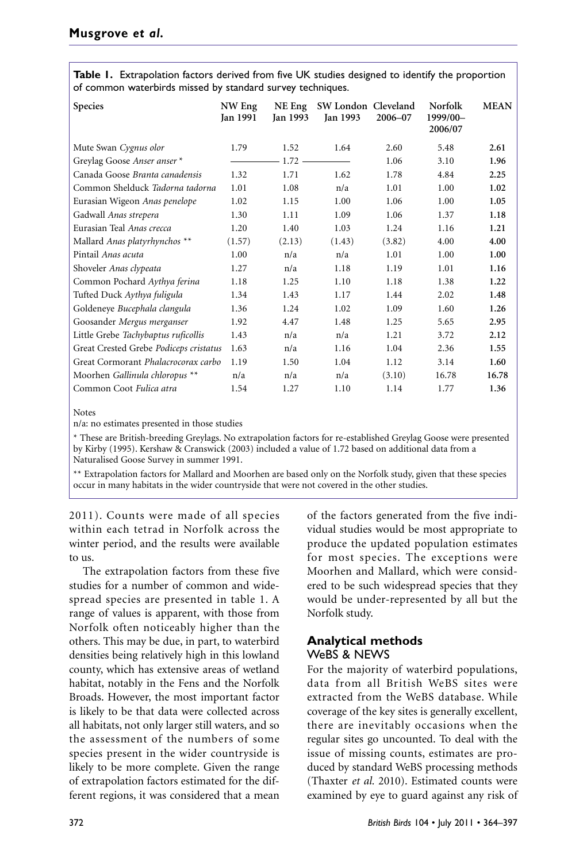**Table 1.** Extrapolation factors derived from five UK studies designed to identify the proportion of common waterbirds missed by standard survey techniques.

| <b>Species</b>                         | NW Eng<br>Jan 1991 | NE Eng<br>Jan 1993 | SW London Cleveland<br>Jan 1993 | 2006-07 | <b>Norfolk</b><br>1999/00-<br>2006/07 | <b>MEAN</b> |
|----------------------------------------|--------------------|--------------------|---------------------------------|---------|---------------------------------------|-------------|
| Mute Swan Cygnus olor                  | 1.79               | 1.52               | 1.64                            | 2.60    | 5.48                                  | 2.61        |
| Greylag Goose Anser anser *            |                    | 1.72               |                                 | 1.06    | 3.10                                  | 1.96        |
| Canada Goose Branta canadensis         | 1.32               | 1.71               | 1.62                            | 1.78    | 4.84                                  | 2.25        |
| Common Shelduck Tadorna tadorna        | 1.01               | 1.08               | n/a                             | 1.01    | 1.00                                  | 1.02        |
| Eurasian Wigeon Anas penelope          | 1.02               | 1.15               | 1.00                            | 1.06    | 1.00                                  | 1.05        |
| Gadwall Anas strepera                  | 1.30               | 1.11               | 1.09                            | 1.06    | 1.37                                  | 1.18        |
| Eurasian Teal Anas crecca              | 1.20               | 1.40               | 1.03                            | 1.24    | 1.16                                  | 1.21        |
| Mallard Anas platyrhynchos **          | (1.57)             | (2.13)             | (1.43)                          | (3.82)  | 4.00                                  | 4.00        |
| Pintail Anas acuta                     | 1.00               | n/a                | n/a                             | 1.01    | 1.00                                  | 1.00        |
| Shoveler Anas clypeata                 | 1.27               | n/a                | 1.18                            | 1.19    | 1.01                                  | 1.16        |
| Common Pochard Aythya ferina           | 1.18               | 1.25               | 1.10                            | 1.18    | 1.38                                  | 1.22        |
| Tufted Duck Aythya fuligula            | 1.34               | 1.43               | 1.17                            | 1.44    | 2.02                                  | 1.48        |
| Goldeneye Bucephala clangula           | 1.36               | 1.24               | 1.02                            | 1.09    | 1.60                                  | 1.26        |
| Goosander Mergus merganser             | 1.92               | 4.47               | 1.48                            | 1.25    | 5.65                                  | 2.95        |
| Little Grebe Tachybaptus ruficollis    | 1.43               | n/a                | n/a                             | 1.21    | 3.72                                  | 2.12        |
| Great Crested Grebe Podiceps cristatus | 1.63               | n/a                | 1.16                            | 1.04    | 2.36                                  | 1.55        |
| Great Cormorant Phalacrocorax carbo    | 1.19               | 1.50               | 1.04                            | 1.12    | 3.14                                  | 1.60        |
| Moorhen Gallinula chloropus **         | n/a                | n/a                | n/a                             | (3.10)  | 16.78                                 | 16.78       |
| Common Coot Fulica atra                | 1.54               | 1.27               | 1.10                            | 1.14    | 1.77                                  | 1.36        |

Notes

n/a: no estimates presented in those studies

\* These are British-breeding Greylags. No extrapolation factors for re-established Greylag Goose were presented by Kirby (1995). Kershaw & Cranswick (2003) included a value of 1.72 based on additional data from a Naturalised Goose Survey in summer 1991.

\*\* Extrapolation factors for Mallard and Moorhen are based only on the Norfolk study, given that these species occur in many habitats in the wider countryside that were not covered in the other studies.

2011). Counts were made of all species within each tetrad in Norfolk across the winter period, and the results were available to us.

The extrapolation factors from these five studies for a number of common and widespread species are presented in table 1. A range of values is apparent, with those from Norfolk often noticeably higher than the others. This may be due, in part, to waterbird densities being relatively high in this lowland county, which has extensive areas of wetland habitat, notably in the Fens and the Norfolk Broads. However, the most important factor is likely to be that data were collected across all habitats, not only larger still waters, and so the assessment of the numbers of some species present in the wider countryside is likely to be more complete. Given the range of extrapolation factors estimated for the different regions, it was considered that a mean

of the factors generated from the five individual studies would be most appropriate to produce the updated population estimates for most species. The exceptions were Moorhen and Mallard, which were considered to be such widespread species that they would be under-represented by all but the Norfolk study.

## **Analytical methods** WeBS & NEWS

For the majority of waterbird populations, data from all British WeBS sites were extracted from the WeBS database. While coverage of the key sites is generally excellent, there are inevitably occasions when the regular sites go uncounted. To deal with the issue of missing counts, estimates are produced by standard WeBS processing methods (Thaxter *et al.* 2010). Estimated counts were examined by eye to guard against any risk of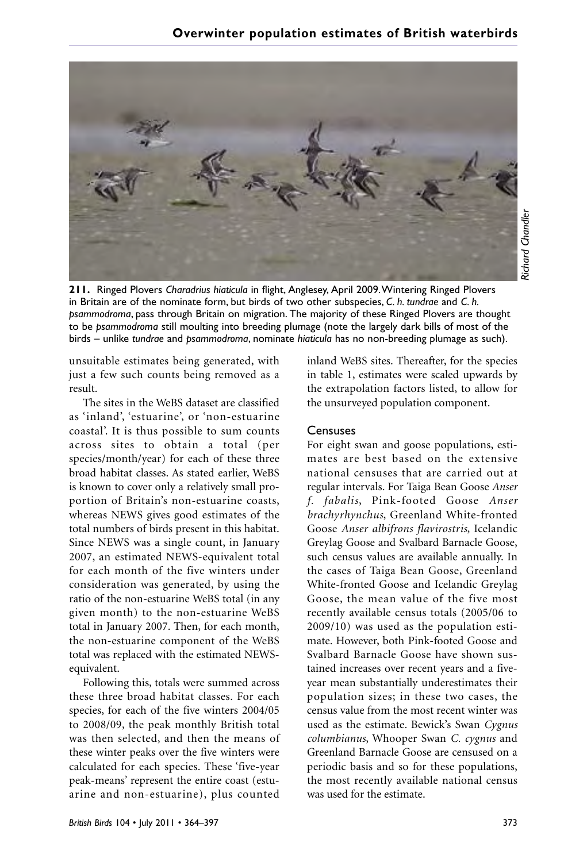

Richard Chandler *Richard Chandler*

**211.** Ringed Plovers *Charadrius hiaticula* in flight, Anglesey, April 2009.Wintering Ringed Plovers in Britain are of the nominate form, but birds of two other subspecies, *C. h. tundrae* and *C. h. psammodroma*, pass through Britain on migration. The majority of these Ringed Plovers are thought to be *psammodroma* still moulting into breeding plumage (note the largely dark bills of most of the birds – unlike *tundrae* and *psammodroma*, nominate *hiaticula* has no non-breeding plumage as such).

unsuitable estimates being generated, with just a few such counts being removed as a result.

The sites in the WeBS dataset are classified as 'inland', 'estuarine', or 'non-estuarine coastal'. It is thus possible to sum counts across sites to obtain a total (per species/month/year) for each of these three broad habitat classes. As stated earlier, WeBS is known to cover only a relatively small proportion of Britain's non-estuarine coasts, whereas NEWS gives good estimates of the total numbers of birds present in this habitat. Since NEWS was a single count, in January 2007, an estimated NEWS-equivalent total for each month of the five winters under consideration was generated, by using the ratio of the non-estuarine WeBS total (in any given month) to the non-estuarine WeBS total in January 2007. Then, for each month, the non-estuarine component of the WeBS total was replaced with the estimated NEWSequivalent.

Following this, totals were summed across these three broad habitat classes. For each species, for each of the five winters 2004/05 to 2008/09, the peak monthly British total was then selected, and then the means of these winter peaks over the five winters were calculated for each species. These 'five-year peak-means' represent the entire coast (estuarine and non-estuarine), plus counted inland WeBS sites. Thereafter, for the species in table 1, estimates were scaled upwards by the extrapolation factors listed, to allow for the unsurveyed population component.

#### **Censuses**

For eight swan and goose populations, estimates are best based on the extensive national censuses that are carried out at regular intervals. For Taiga Bean Goose *Anser f. fabalis*, Pink-footed Goose *Anser brachyrhynchus*, Greenland White-fronted Goose *Anser albifrons flavirostris*, Icelandic Greylag Goose and Svalbard Barnacle Goose, such census values are available annually. In the cases of Taiga Bean Goose, Greenland White-fronted Goose and Icelandic Greylag Goose, the mean value of the five most recently available census totals (2005/06 to 2009/10) was used as the population estimate. However, both Pink-footed Goose and Svalbard Barnacle Goose have shown sustained increases over recent years and a fiveyear mean substantially underestimates their population sizes; in these two cases, the census value from the most recent winter was used as the estimate. Bewick's Swan *Cygnus columbianus*, Whooper Swan *C. cygnus* and Greenland Barnacle Goose are censused on a periodic basis and so for these populations, the most recently available national census was used for the estimate.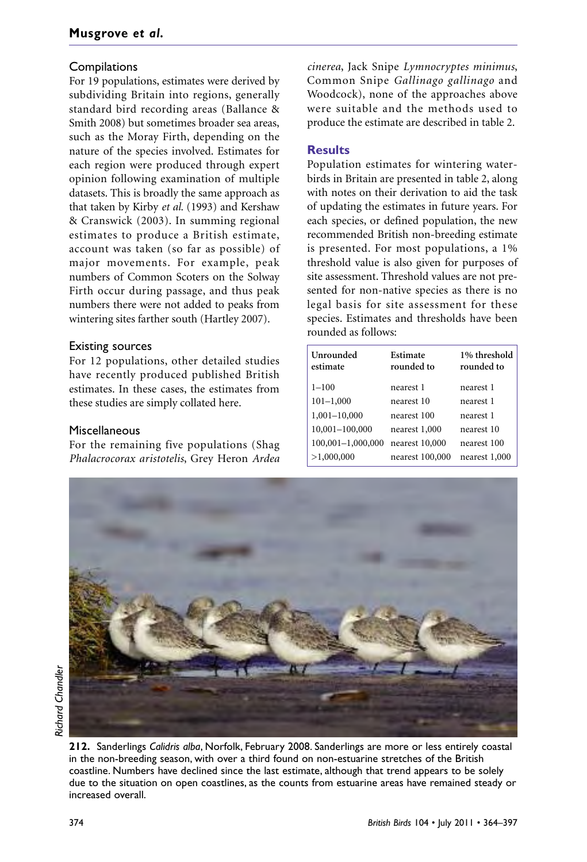## **Compilations**

For 19 populations, estimates were derived by subdividing Britain into regions, generally standard bird recording areas (Ballance & Smith 2008) but sometimes broader sea areas, such as the Moray Firth, depending on the nature of the species involved. Estimates for each region were produced through expert opinion following examination of multiple datasets. This is broadly the same approach as that taken by Kirby *et al.* (1993) and Kershaw & Cranswick (2003). In summing regional estimates to produce a British estimate, account was taken (so far as possible) of major movements. For example, peak numbers of Common Scoters on the Solway Firth occur during passage, and thus peak numbers there were not added to peaks from wintering sites farther south (Hartley 2007).

### Existing sources

For 12 populations, other detailed studies have recently produced published British estimates. In these cases, the estimates from these studies are simply collated here.

### Miscellaneous

For the remaining five populations (Shag *Phalacrocorax aristotelis*, Grey Heron *Ardea* *cinerea*, Jack Snipe *Lymnocryptes minimus*, Common Snipe *Gallinago gallinago* and Woodcock), none of the approaches above were suitable and the methods used to produce the estimate are described in table 2.

## **Results**

Population estimates for wintering waterbirds in Britain are presented in table 2, along with notes on their derivation to aid the task of updating the estimates in future years. For each species, or defined population, the new recommended British non-breeding estimate is presented. For most populations, a 1% threshold value is also given for purposes of site assessment. Threshold values are not presented for non-native species as there is no legal basis for site assessment for these species. Estimates and thresholds have been rounded as follows:

| Unrounded<br>estimate | Estimate<br>rounded to | 1% threshold<br>rounded to |
|-----------------------|------------------------|----------------------------|
| $1 - 100$             | nearest 1              | nearest 1                  |
| $101 - 1,000$         | nearest 10             | nearest 1                  |
| 1,001-10,000          | nearest 100            | nearest 1                  |
| 10,001-100,000        | nearest 1,000          | nearest 10                 |
| 100,001-1,000,000     | nearest 10,000         | nearest 100                |
| >1,000,000            | nearest 100,000        | nearest 1,000              |

**212.** Sanderlings *Calidris alba*, Norfolk, February 2008. Sanderlings are more or less entirely coastal in the non-breeding season, with over a third found on non-estuarine stretches of the British coastline. Numbers have declined since the last estimate, although that trend appears to be solely due to the situation on open coastlines, as the counts from estuarine areas have remained steady or increased overall.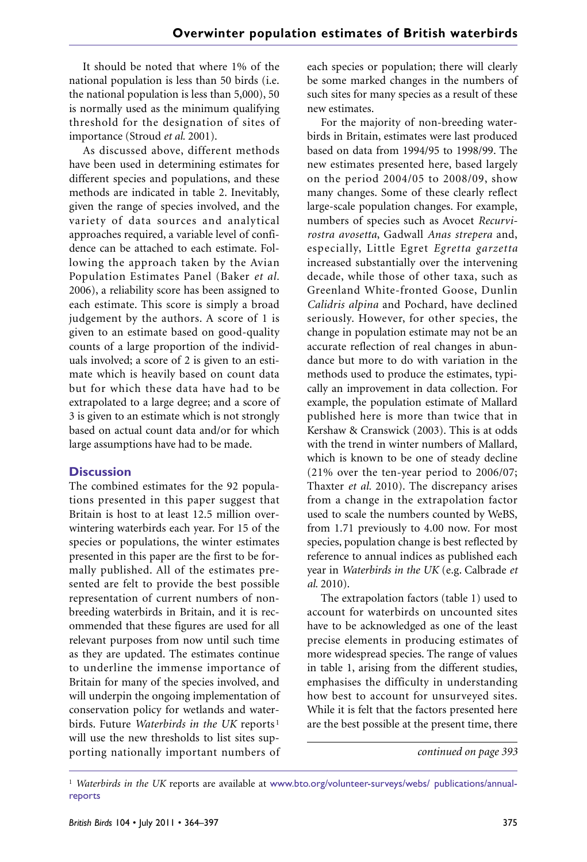It should be noted that where 1% of the national population is less than 50 birds (i.e. the national population is less than 5,000), 50 is normally used as the minimum qualifying threshold for the designation of sites of importance (Stroud *et al.* 2001).

As discussed above, different methods have been used in determining estimates for different species and populations, and these methods are indicated in table 2. Inevitably, given the range of species involved, and the variety of data sources and analytical approaches required, a variable level of confidence can be attached to each estimate. Following the approach taken by the Avian Population Estimates Panel (Baker *et al.* 2006), a reliability score has been assigned to each estimate. This score is simply a broad judgement by the authors. A score of 1 is given to an estimate based on good-quality counts of a large proportion of the individuals involved; a score of 2 is given to an estimate which is heavily based on count data but for which these data have had to be extrapolated to a large degree; and a score of 3 is given to an estimate which is not strongly based on actual count data and/or for which large assumptions have had to be made.

#### **Discussion**

The combined estimates for the 92 populations presented in this paper suggest that Britain is host to at least 12.5 million overwintering waterbirds each year. For 15 of the species or populations, the winter estimates presented in this paper are the first to be formally published. All of the estimates presented are felt to provide the best possible representation of current numbers of nonbreeding waterbirds in Britain, and it is recommended that these figures are used for all relevant purposes from now until such time as they are updated. The estimates continue to underline the immense importance of Britain for many of the species involved, and will underpin the ongoing implementation of conservation policy for wetlands and waterbirds. Future *Waterbirds in the UK* reports <sup>1</sup> will use the new thresholds to list sites supporting nationally important numbers of

each species or population; there will clearly be some marked changes in the numbers of such sites for many species as a result of these new estimates.

For the majority of non-breeding waterbirds in Britain, estimates were last produced based on data from 1994/95 to 1998/99. The new estimates presented here, based largely on the period 2004/05 to 2008/09, show many changes. Some of these clearly reflect large-scale population changes. For example, numbers of species such as Avocet *Recurvirostra avosetta*, Gadwall *Anas strepera* and, especially, Little Egret *Egretta garzetta* increased substantially over the intervening decade, while those of other taxa, such as Greenland White-fronted Goose, Dunlin *Calidris alpina* and Pochard, have declined seriously. However, for other species, the change in population estimate may not be an accurate reflection of real changes in abundance but more to do with variation in the methods used to produce the estimates, typically an improvement in data collection. For example, the population estimate of Mallard published here is more than twice that in Kershaw & Cranswick (2003). This is at odds with the trend in winter numbers of Mallard, which is known to be one of steady decline (21% over the ten-year period to 2006/07; Thaxter *et al.* 2010). The discrepancy arises from a change in the extrapolation factor used to scale the numbers counted by WeBS, from 1.71 previously to 4.00 now. For most species, population change is best reflected by reference to annual indices as published each year in *Waterbirds in the UK* (e.g. Calbrade *et al.* 2010).

The extrapolation factors (table 1) used to account for waterbirds on uncounted sites have to be acknowledged as one of the least precise elements in producing estimates of more widespread species. The range of values in table 1, arising from the different studies, emphasises the difficulty in understanding how best to account for unsurveyed sites. While it is felt that the factors presented here are the best possible at the present time, there

*continued on page 393*

<sup>1</sup> *Waterbirds in the UK* reports are available at www.bto.org/volunteer-surveys/webs/ publications/annualreports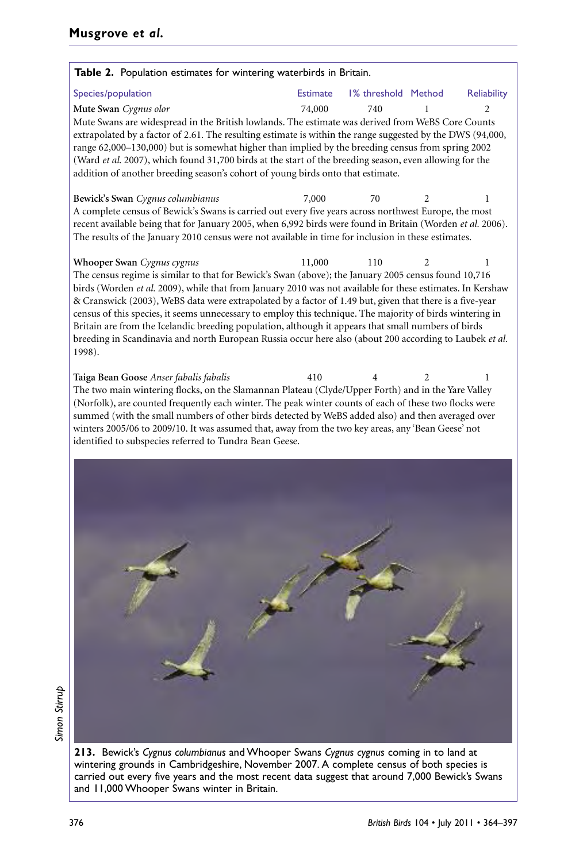| Table 2. Population estimates for wintering waterbirds in Britain.                                                                                                                                                                                                                                                                                                                                                                                                                                                                                                                                                                                                      |                 |                     |                |                               |
|-------------------------------------------------------------------------------------------------------------------------------------------------------------------------------------------------------------------------------------------------------------------------------------------------------------------------------------------------------------------------------------------------------------------------------------------------------------------------------------------------------------------------------------------------------------------------------------------------------------------------------------------------------------------------|-----------------|---------------------|----------------|-------------------------------|
| Species/population                                                                                                                                                                                                                                                                                                                                                                                                                                                                                                                                                                                                                                                      | <b>Estimate</b> | 1% threshold Method |                | Reliability                   |
| Mute Swan Cygnus olor                                                                                                                                                                                                                                                                                                                                                                                                                                                                                                                                                                                                                                                   | 74,000          | 740                 |                | $\mathfrak{D}_{\mathfrak{p}}$ |
| Mute Swans are widespread in the British lowlands. The estimate was derived from WeBS Core Counts<br>extrapolated by a factor of 2.61. The resulting estimate is within the range suggested by the DWS (94,000,<br>range 62,000-130,000) but is somewhat higher than implied by the breeding census from spring 2002<br>(Ward et al. 2007), which found 31,700 birds at the start of the breeding season, even allowing for the<br>addition of another breeding season's cohort of young birds onto that estimate.                                                                                                                                                      |                 |                     |                |                               |
| Bewick's Swan Cygnus columbianus                                                                                                                                                                                                                                                                                                                                                                                                                                                                                                                                                                                                                                        | 7,000           | 70                  | $\overline{2}$ | 1                             |
| A complete census of Bewick's Swans is carried out every five years across northwest Europe, the most<br>recent available being that for January 2005, when 6,992 birds were found in Britain (Worden et al. 2006).<br>The results of the January 2010 census were not available in time for inclusion in these estimates.                                                                                                                                                                                                                                                                                                                                              |                 |                     |                |                               |
| Whooper Swan Cygnus cygnus                                                                                                                                                                                                                                                                                                                                                                                                                                                                                                                                                                                                                                              | 11,000          | 110                 |                | 1                             |
| The census regime is similar to that for Bewick's Swan (above); the January 2005 census found 10,716<br>birds (Worden et al. 2009), while that from January 2010 was not available for these estimates. In Kershaw<br>& Cranswick (2003), WeBS data were extrapolated by a factor of 1.49 but, given that there is a five-year<br>census of this species, it seems unnecessary to employ this technique. The majority of birds wintering in<br>Britain are from the Icelandic breeding population, although it appears that small numbers of birds<br>breeding in Scandinavia and north European Russia occur here also (about 200 according to Laubek et al.<br>1998). |                 |                     |                |                               |
| Taiga Bean Goose Anser fabalis fabalis<br>The two main wintering flocks, on the Slamannan Plateau (Clyde/Upper Forth) and in the Yare Valley<br>(Norfolk), are counted frequently each winter. The peak winter counts of each of these two flocks were<br>summed (with the small numbers of other birds detected by WeBS added also) and then averaged over<br>winters 2005/06 to 2009/10. It was assumed that, away from the two key areas, any 'Bean Geese' not<br>identified to subspecies referred to Tundra Bean Geese.                                                                                                                                            | 410             |                     |                | 1                             |
|                                                                                                                                                                                                                                                                                                                                                                                                                                                                                                                                                                                                                                                                         |                 |                     |                |                               |

Simon Stirrup *Simon Stirrup*

> **213.** Bewick's *Cygnus columbianus* and Whooper Swans *Cygnus cygnus* coming in to land at wintering grounds in Cambridgeshire, November 2007. A complete census of both species is carried out every five years and the most recent data suggest that around 7,000 Bewick's Swans and 11,000 Whooper Swans winter in Britain.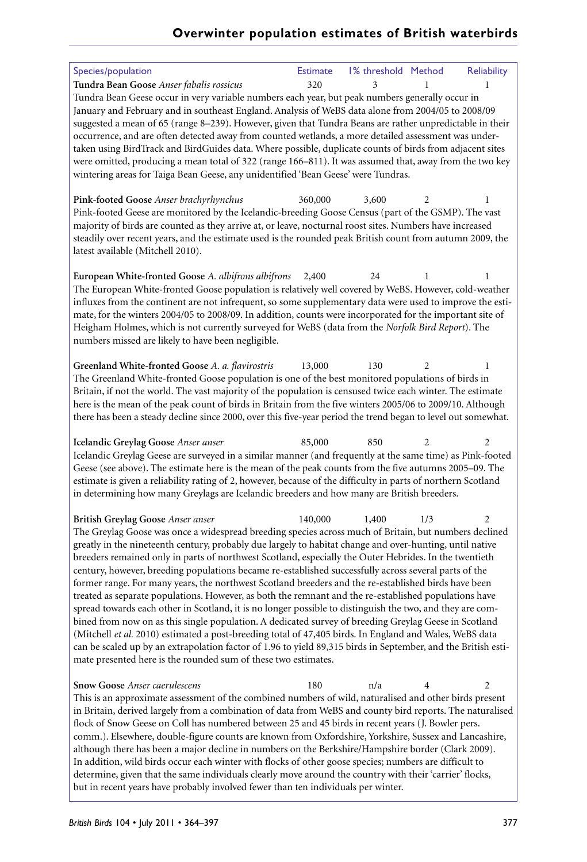| Species/population                                                                                            | <b>Estimate</b> | 1% threshold Method |                | Reliability |
|---------------------------------------------------------------------------------------------------------------|-----------------|---------------------|----------------|-------------|
| Tundra Bean Goose Anser fabalis rossicus                                                                      | 320             | 3                   |                |             |
| Tundra Bean Geese occur in very variable numbers each year, but peak numbers generally occur in               |                 |                     |                |             |
| January and February and in southeast England. Analysis of WeBS data alone from 2004/05 to 2008/09            |                 |                     |                |             |
| suggested a mean of 65 (range 8-239). However, given that Tundra Beans are rather unpredictable in their      |                 |                     |                |             |
| occurrence, and are often detected away from counted wetlands, a more detailed assessment was under-          |                 |                     |                |             |
|                                                                                                               |                 |                     |                |             |
| taken using BirdTrack and BirdGuides data. Where possible, duplicate counts of birds from adjacent sites      |                 |                     |                |             |
| were omitted, producing a mean total of 322 (range 166-811). It was assumed that, away from the two key       |                 |                     |                |             |
| wintering areas for Taiga Bean Geese, any unidentified 'Bean Geese' were Tundras.                             |                 |                     |                |             |
|                                                                                                               |                 |                     |                |             |
| Pink-footed Goose Anser brachyrhynchus                                                                        | 360,000         | 3,600               | 2              | 1           |
| Pink-footed Geese are monitored by the Icelandic-breeding Goose Census (part of the GSMP). The vast           |                 |                     |                |             |
| majority of birds are counted as they arrive at, or leave, nocturnal roost sites. Numbers have increased      |                 |                     |                |             |
| steadily over recent years, and the estimate used is the rounded peak British count from autumn 2009, the     |                 |                     |                |             |
| latest available (Mitchell 2010).                                                                             |                 |                     |                |             |
|                                                                                                               |                 |                     |                |             |
| European White-fronted Goose A. albifrons albifrons                                                           | 2,400           | 24                  | 1              |             |
| The European White-fronted Goose population is relatively well covered by WeBS. However, cold-weather         |                 |                     |                |             |
| influxes from the continent are not infrequent, so some supplementary data were used to improve the esti-     |                 |                     |                |             |
| mate, for the winters 2004/05 to 2008/09. In addition, counts were incorporated for the important site of     |                 |                     |                |             |
| Heigham Holmes, which is not currently surveyed for WeBS (data from the Norfolk Bird Report). The             |                 |                     |                |             |
| numbers missed are likely to have been negligible.                                                            |                 |                     |                |             |
|                                                                                                               |                 |                     |                |             |
| Greenland White-fronted Goose A. a. flavirostris                                                              | 13,000          | 130                 | 2              | 1           |
| The Greenland White-fronted Goose population is one of the best monitored populations of birds in             |                 |                     |                |             |
| Britain, if not the world. The vast majority of the population is censused twice each winter. The estimate    |                 |                     |                |             |
|                                                                                                               |                 |                     |                |             |
| here is the mean of the peak count of birds in Britain from the five winters 2005/06 to 2009/10. Although     |                 |                     |                |             |
| there has been a steady decline since 2000, over this five-year period the trend began to level out somewhat. |                 |                     |                |             |
|                                                                                                               | 85,000          | 850                 | $\overline{2}$ |             |
| Icelandic Greylag Goose Anser anser                                                                           |                 |                     |                | 2           |
| Icelandic Greylag Geese are surveyed in a similar manner (and frequently at the same time) as Pink-footed     |                 |                     |                |             |
| Geese (see above). The estimate here is the mean of the peak counts from the five autumns 2005-09. The        |                 |                     |                |             |
| estimate is given a reliability rating of 2, however, because of the difficulty in parts of northern Scotland |                 |                     |                |             |
| in determining how many Greylags are Icelandic breeders and how many are British breeders.                    |                 |                     |                |             |
|                                                                                                               |                 |                     |                |             |
| British Greylag Goose Anser anser                                                                             | 140,000         | 1,400               | 1/3            | 2           |
| The Greylag Goose was once a widespread breeding species across much of Britain, but numbers declined         |                 |                     |                |             |
| greatly in the nineteenth century, probably due largely to habitat change and over-hunting, until native      |                 |                     |                |             |
| breeders remained only in parts of northwest Scotland, especially the Outer Hebrides. In the twentieth        |                 |                     |                |             |
| century, however, breeding populations became re-established successfully across several parts of the         |                 |                     |                |             |
| former range. For many years, the northwest Scotland breeders and the re-established birds have been          |                 |                     |                |             |
| treated as separate populations. However, as both the remnant and the re-established populations have         |                 |                     |                |             |
| spread towards each other in Scotland, it is no longer possible to distinguish the two, and they are com-     |                 |                     |                |             |
| bined from now on as this single population. A dedicated survey of breeding Greylag Geese in Scotland         |                 |                     |                |             |
| (Mitchell et al. 2010) estimated a post-breeding total of 47,405 birds. In England and Wales, WeBS data       |                 |                     |                |             |
| can be scaled up by an extrapolation factor of 1.96 to yield 89,315 birds in September, and the British esti- |                 |                     |                |             |
| mate presented here is the rounded sum of these two estimates.                                                |                 |                     |                |             |
|                                                                                                               |                 |                     |                |             |
| <b>Snow Goose Anser caerulescens</b>                                                                          | 180             | n/a                 | 4              | 2           |
| This is an approximate assessment of the combined numbers of wild, naturalised and other birds present        |                 |                     |                |             |
| in Britain, derived largely from a combination of data from WeBS and county bird reports. The naturalised     |                 |                     |                |             |
| flock of Snow Geese on Coll has numbered between 25 and 45 birds in recent years (J. Bowler pers.             |                 |                     |                |             |
|                                                                                                               |                 |                     |                |             |
| comm.). Elsewhere, double-figure counts are known from Oxfordshire, Yorkshire, Sussex and Lancashire,         |                 |                     |                |             |
| although there has been a major decline in numbers on the Berkshire/Hampshire border (Clark 2009).            |                 |                     |                |             |
| In addition, wild birds occur each winter with flocks of other goose species; numbers are difficult to        |                 |                     |                |             |
| determine, given that the same individuals clearly move around the country with their 'carrier' flocks,       |                 |                     |                |             |
| but in recent years have probably involved fewer than ten individuals per winter.                             |                 |                     |                |             |
|                                                                                                               |                 |                     |                |             |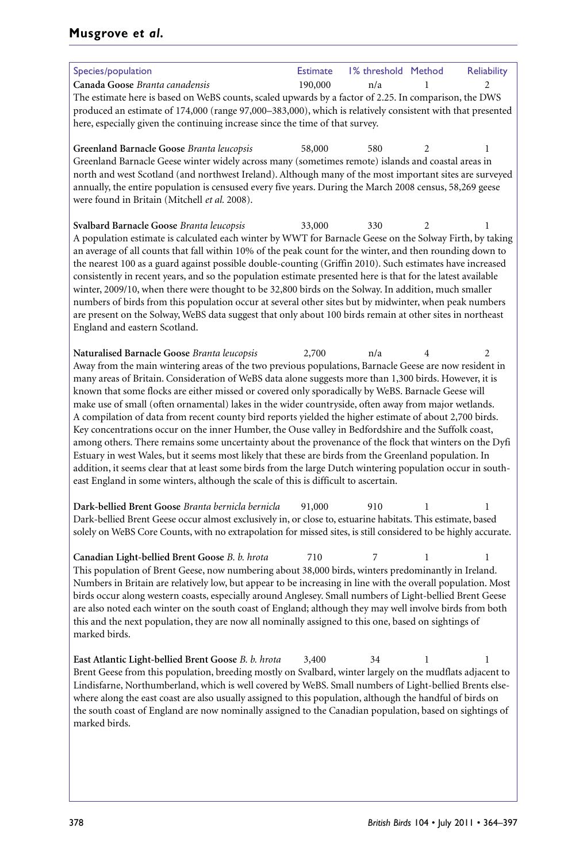## **Musgrove** *et al.*

| Species/population                                                                                                                                                                                           | <b>Estimate</b> | 1% threshold Method |   | Reliability |
|--------------------------------------------------------------------------------------------------------------------------------------------------------------------------------------------------------------|-----------------|---------------------|---|-------------|
| Canada Goose Branta canadensis                                                                                                                                                                               | 190,000         | n/a                 |   | 2           |
| The estimate here is based on WeBS counts, scaled upwards by a factor of 2.25. In comparison, the DWS                                                                                                        |                 |                     |   |             |
| produced an estimate of 174,000 (range 97,000-383,000), which is relatively consistent with that presented                                                                                                   |                 |                     |   |             |
| here, especially given the continuing increase since the time of that survey.                                                                                                                                |                 |                     |   |             |
|                                                                                                                                                                                                              |                 |                     |   |             |
| Greenland Barnacle Goose Branta leucopsis                                                                                                                                                                    | 58,000          | 580                 | 2 | 1           |
| Greenland Barnacle Geese winter widely across many (sometimes remote) islands and coastal areas in                                                                                                           |                 |                     |   |             |
| north and west Scotland (and northwest Ireland). Although many of the most important sites are surveyed                                                                                                      |                 |                     |   |             |
| annually, the entire population is censused every five years. During the March 2008 census, 58,269 geese                                                                                                     |                 |                     |   |             |
| were found in Britain (Mitchell et al. 2008).                                                                                                                                                                |                 |                     |   |             |
| Svalbard Barnacle Goose Branta leucopsis                                                                                                                                                                     | 33,000          | 330                 | 2 | 1           |
| A population estimate is calculated each winter by WWT for Barnacle Geese on the Solway Firth, by taking                                                                                                     |                 |                     |   |             |
| an average of all counts that fall within 10% of the peak count for the winter, and then rounding down to                                                                                                    |                 |                     |   |             |
| the nearest 100 as a guard against possible double-counting (Griffin 2010). Such estimates have increased                                                                                                    |                 |                     |   |             |
| consistently in recent years, and so the population estimate presented here is that for the latest available                                                                                                 |                 |                     |   |             |
| winter, 2009/10, when there were thought to be 32,800 birds on the Solway. In addition, much smaller                                                                                                         |                 |                     |   |             |
| numbers of birds from this population occur at several other sites but by midwinter, when peak numbers                                                                                                       |                 |                     |   |             |
| are present on the Solway, WeBS data suggest that only about 100 birds remain at other sites in northeast                                                                                                    |                 |                     |   |             |
| England and eastern Scotland.                                                                                                                                                                                |                 |                     |   |             |
|                                                                                                                                                                                                              |                 |                     |   |             |
| Naturalised Barnacle Goose Branta leucopsis                                                                                                                                                                  | 2,700           | n/a                 | 4 | 2           |
| Away from the main wintering areas of the two previous populations, Barnacle Geese are now resident in                                                                                                       |                 |                     |   |             |
| many areas of Britain. Consideration of WeBS data alone suggests more than 1,300 birds. However, it is<br>known that some flocks are either missed or covered only sporadically by WeBS. Barnacle Geese will |                 |                     |   |             |
| make use of small (often ornamental) lakes in the wider countryside, often away from major wetlands.                                                                                                         |                 |                     |   |             |
| A compilation of data from recent county bird reports yielded the higher estimate of about 2,700 birds.                                                                                                      |                 |                     |   |             |
| Key concentrations occur on the inner Humber, the Ouse valley in Bedfordshire and the Suffolk coast,                                                                                                         |                 |                     |   |             |
| among others. There remains some uncertainty about the provenance of the flock that winters on the Dyfi                                                                                                      |                 |                     |   |             |
| Estuary in west Wales, but it seems most likely that these are birds from the Greenland population. In                                                                                                       |                 |                     |   |             |
| addition, it seems clear that at least some birds from the large Dutch wintering population occur in south-                                                                                                  |                 |                     |   |             |
| east England in some winters, although the scale of this is difficult to ascertain.                                                                                                                          |                 |                     |   |             |
|                                                                                                                                                                                                              |                 |                     |   |             |
| Dark-bellied Brent Goose Branta bernicla bernicla                                                                                                                                                            | 91,000          | 910                 |   | 1           |
| Dark-bellied Brent Geese occur almost exclusively in, or close to, estuarine habitats. This estimate, based                                                                                                  |                 |                     |   |             |
| solely on WeBS Core Counts, with no extrapolation for missed sites, is still considered to be highly accurate.                                                                                               |                 |                     |   |             |
|                                                                                                                                                                                                              | 710             | 7                   |   |             |
| Canadian Light-bellied Brent Goose B. b. hrota<br>This population of Brent Geese, now numbering about 38,000 birds, winters predominantly in Ireland.                                                        |                 |                     | 1 | 1           |
| Numbers in Britain are relatively low, but appear to be increasing in line with the overall population. Most                                                                                                 |                 |                     |   |             |
| birds occur along western coasts, especially around Anglesey. Small numbers of Light-bellied Brent Geese                                                                                                     |                 |                     |   |             |
| are also noted each winter on the south coast of England; although they may well involve birds from both                                                                                                     |                 |                     |   |             |
| this and the next population, they are now all nominally assigned to this one, based on sightings of                                                                                                         |                 |                     |   |             |
| marked birds.                                                                                                                                                                                                |                 |                     |   |             |
|                                                                                                                                                                                                              |                 |                     |   |             |
| East Atlantic Light-bellied Brent Goose B. b. hrota                                                                                                                                                          | 3,400           | 34                  | 1 | 1           |
| Brent Geese from this population, breeding mostly on Svalbard, winter largely on the mudflats adjacent to                                                                                                    |                 |                     |   |             |
| Lindisfarne, Northumberland, which is well covered by WeBS. Small numbers of Light-bellied Brents else-                                                                                                      |                 |                     |   |             |
| where along the east coast are also usually assigned to this population, although the handful of birds on                                                                                                    |                 |                     |   |             |
| the south coast of England are now nominally assigned to the Canadian population, based on sightings of                                                                                                      |                 |                     |   |             |
| marked birds.                                                                                                                                                                                                |                 |                     |   |             |
|                                                                                                                                                                                                              |                 |                     |   |             |
|                                                                                                                                                                                                              |                 |                     |   |             |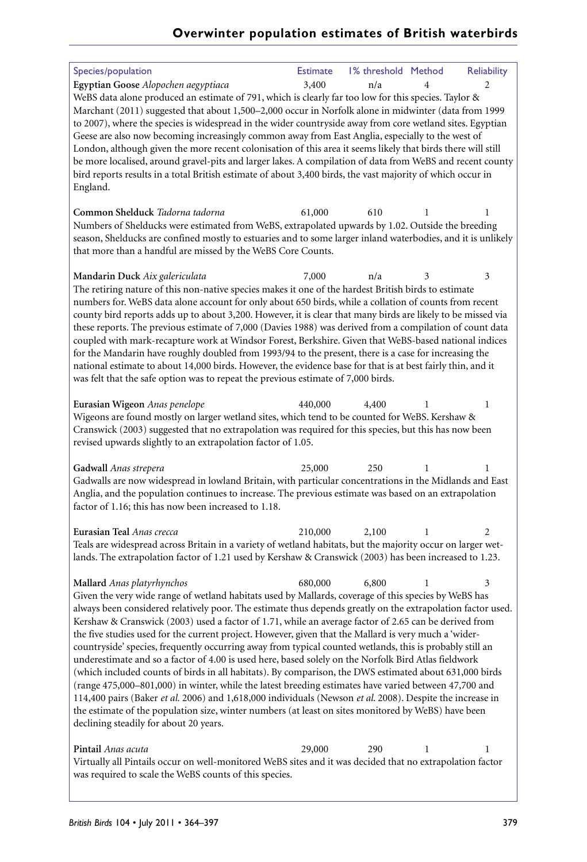| Species/population                                                                                                                                                                                                        | <b>Estimate</b> | 1% threshold Method |   | <b>Reliability</b> |
|---------------------------------------------------------------------------------------------------------------------------------------------------------------------------------------------------------------------------|-----------------|---------------------|---|--------------------|
| Egyptian Goose Alopochen aegyptiaca                                                                                                                                                                                       | 3,400           | n/a                 |   | 2                  |
| WeBS data alone produced an estimate of 791, which is clearly far too low for this species. Taylor &                                                                                                                      |                 |                     |   |                    |
| Marchant (2011) suggested that about 1,500-2,000 occur in Norfolk alone in midwinter (data from 1999                                                                                                                      |                 |                     |   |                    |
| to 2007), where the species is widespread in the wider countryside away from core wetland sites. Egyptian                                                                                                                 |                 |                     |   |                    |
| Geese are also now becoming increasingly common away from East Anglia, especially to the west of                                                                                                                          |                 |                     |   |                    |
| London, although given the more recent colonisation of this area it seems likely that birds there will still<br>be more localised, around gravel-pits and larger lakes. A compilation of data from WeBS and recent county |                 |                     |   |                    |
| bird reports results in a total British estimate of about 3,400 birds, the vast majority of which occur in                                                                                                                |                 |                     |   |                    |
| England.                                                                                                                                                                                                                  |                 |                     |   |                    |
|                                                                                                                                                                                                                           |                 |                     |   |                    |
| Common Shelduck Tadorna tadorna                                                                                                                                                                                           | 61,000          | 610                 | 1 | 1                  |
| Numbers of Shelducks were estimated from WeBS, extrapolated upwards by 1.02. Outside the breeding                                                                                                                         |                 |                     |   |                    |
| season, Shelducks are confined mostly to estuaries and to some larger inland waterbodies, and it is unlikely                                                                                                              |                 |                     |   |                    |
| that more than a handful are missed by the WeBS Core Counts.                                                                                                                                                              |                 |                     |   |                    |
|                                                                                                                                                                                                                           |                 |                     |   | 3                  |
| Mandarin Duck Aix galericulata<br>The retiring nature of this non-native species makes it one of the hardest British birds to estimate                                                                                    | 7,000           | n/a                 | 3 |                    |
| numbers for. WeBS data alone account for only about 650 birds, while a collation of counts from recent                                                                                                                    |                 |                     |   |                    |
| county bird reports adds up to about 3,200. However, it is clear that many birds are likely to be missed via                                                                                                              |                 |                     |   |                    |
| these reports. The previous estimate of 7,000 (Davies 1988) was derived from a compilation of count data                                                                                                                  |                 |                     |   |                    |
| coupled with mark-recapture work at Windsor Forest, Berkshire. Given that WeBS-based national indices                                                                                                                     |                 |                     |   |                    |
| for the Mandarin have roughly doubled from 1993/94 to the present, there is a case for increasing the                                                                                                                     |                 |                     |   |                    |
| national estimate to about 14,000 birds. However, the evidence base for that is at best fairly thin, and it                                                                                                               |                 |                     |   |                    |
| was felt that the safe option was to repeat the previous estimate of 7,000 birds.                                                                                                                                         |                 |                     |   |                    |
|                                                                                                                                                                                                                           |                 |                     |   |                    |
| Eurasian Wigeon Anas penelope                                                                                                                                                                                             | 440,000         | 4,400               | 1 | 1                  |
| Wigeons are found mostly on larger wetland sites, which tend to be counted for WeBS. Kershaw &<br>Cranswick (2003) suggested that no extrapolation was required for this species, but this has now been                   |                 |                     |   |                    |
| revised upwards slightly to an extrapolation factor of 1.05.                                                                                                                                                              |                 |                     |   |                    |
|                                                                                                                                                                                                                           |                 |                     |   |                    |
| Gadwall Anas strepera                                                                                                                                                                                                     | 25,000          | 250                 | 1 | 1                  |
| Gadwalls are now widespread in lowland Britain, with particular concentrations in the Midlands and East                                                                                                                   |                 |                     |   |                    |
| Anglia, and the population continues to increase. The previous estimate was based on an extrapolation                                                                                                                     |                 |                     |   |                    |
| factor of 1.16; this has now been increased to 1.18.                                                                                                                                                                      |                 |                     |   |                    |
| Eurasian Teal Anas crecca                                                                                                                                                                                                 | 210,000         | 2,100               | 1 | 2                  |
| Teals are widespread across Britain in a variety of wetland habitats, but the majority occur on larger wet-                                                                                                               |                 |                     |   |                    |
| lands. The extrapolation factor of 1.21 used by Kershaw & Cranswick (2003) has been increased to 1.23.                                                                                                                    |                 |                     |   |                    |
|                                                                                                                                                                                                                           |                 |                     |   |                    |
| Mallard Anas platyrhynchos                                                                                                                                                                                                | 680,000         | 6,800               | 1 | 3                  |
| Given the very wide range of wetland habitats used by Mallards, coverage of this species by WeBS has                                                                                                                      |                 |                     |   |                    |
| always been considered relatively poor. The estimate thus depends greatly on the extrapolation factor used.                                                                                                               |                 |                     |   |                    |
| Kershaw & Cranswick (2003) used a factor of 1.71, while an average factor of 2.65 can be derived from                                                                                                                     |                 |                     |   |                    |
| the five studies used for the current project. However, given that the Mallard is very much a 'wider-                                                                                                                     |                 |                     |   |                    |
| countryside' species, frequently occurring away from typical counted wetlands, this is probably still an                                                                                                                  |                 |                     |   |                    |
| underestimate and so a factor of 4.00 is used here, based solely on the Norfolk Bird Atlas fieldwork<br>(which included counts of birds in all habitats). By comparison, the DWS estimated about 631,000 birds            |                 |                     |   |                    |
| (range 475,000-801,000) in winter, while the latest breeding estimates have varied between 47,700 and                                                                                                                     |                 |                     |   |                    |
| 114,400 pairs (Baker et al. 2006) and 1,618,000 individuals (Newson et al. 2008). Despite the increase in                                                                                                                 |                 |                     |   |                    |
| the estimate of the population size, winter numbers (at least on sites monitored by WeBS) have been                                                                                                                       |                 |                     |   |                    |
| declining steadily for about 20 years.                                                                                                                                                                                    |                 |                     |   |                    |
|                                                                                                                                                                                                                           |                 |                     |   |                    |
| Pintail Anas acuta                                                                                                                                                                                                        | 29,000          | 290                 | 1 | 1                  |
| Virtually all Pintails occur on well-monitored WeBS sites and it was decided that no extrapolation factor                                                                                                                 |                 |                     |   |                    |
| was required to scale the WeBS counts of this species.                                                                                                                                                                    |                 |                     |   |                    |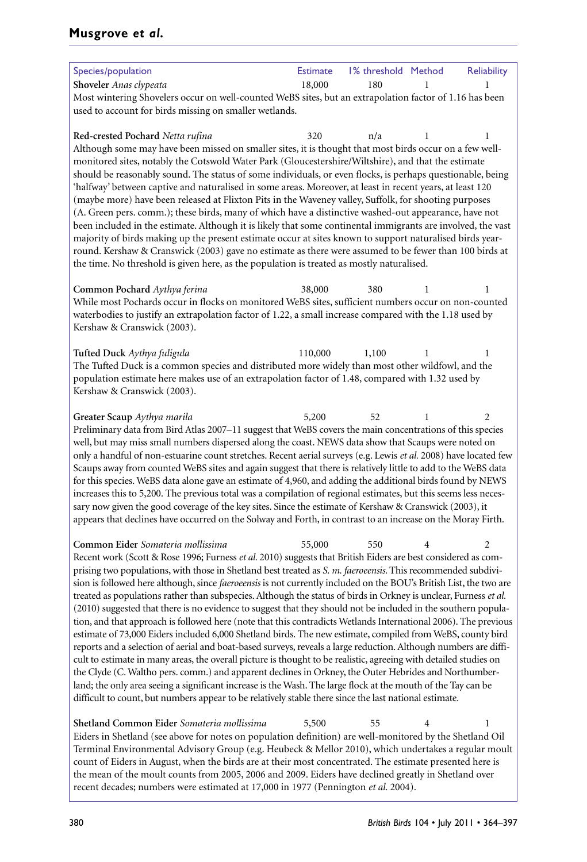| Species/population                                                                                                                                                                                                                     | <b>Estimate</b> | 1% threshold Method |                | <b>Reliability</b> |
|----------------------------------------------------------------------------------------------------------------------------------------------------------------------------------------------------------------------------------------|-----------------|---------------------|----------------|--------------------|
| Shoveler Anas clypeata                                                                                                                                                                                                                 | 18,000          | 180                 |                |                    |
| Most wintering Shovelers occur on well-counted WeBS sites, but an extrapolation factor of 1.16 has been                                                                                                                                |                 |                     |                |                    |
| used to account for birds missing on smaller wetlands.                                                                                                                                                                                 |                 |                     |                |                    |
|                                                                                                                                                                                                                                        |                 |                     |                |                    |
| Red-crested Pochard Netta rufina                                                                                                                                                                                                       | 320             | n/a                 | 1              | 1                  |
| Although some may have been missed on smaller sites, it is thought that most birds occur on a few well-                                                                                                                                |                 |                     |                |                    |
| monitored sites, notably the Cotswold Water Park (Gloucestershire/Wiltshire), and that the estimate                                                                                                                                    |                 |                     |                |                    |
| should be reasonably sound. The status of some individuals, or even flocks, is perhaps questionable, being                                                                                                                             |                 |                     |                |                    |
| 'halfway' between captive and naturalised in some areas. Moreover, at least in recent years, at least 120<br>(maybe more) have been released at Flixton Pits in the Waveney valley, Suffolk, for shooting purposes                     |                 |                     |                |                    |
| (A. Green pers. comm.); these birds, many of which have a distinctive washed-out appearance, have not                                                                                                                                  |                 |                     |                |                    |
| been included in the estimate. Although it is likely that some continental immigrants are involved, the vast                                                                                                                           |                 |                     |                |                    |
| majority of birds making up the present estimate occur at sites known to support naturalised birds year-                                                                                                                               |                 |                     |                |                    |
| round. Kershaw & Cranswick (2003) gave no estimate as there were assumed to be fewer than 100 birds at                                                                                                                                 |                 |                     |                |                    |
| the time. No threshold is given here, as the population is treated as mostly naturalised.                                                                                                                                              |                 |                     |                |                    |
|                                                                                                                                                                                                                                        |                 |                     |                |                    |
| Common Pochard Aythya ferina                                                                                                                                                                                                           | 38,000          | 380                 | 1              | 1                  |
| While most Pochards occur in flocks on monitored WeBS sites, sufficient numbers occur on non-counted                                                                                                                                   |                 |                     |                |                    |
| waterbodies to justify an extrapolation factor of 1.22, a small increase compared with the 1.18 used by                                                                                                                                |                 |                     |                |                    |
| Kershaw & Cranswick (2003).                                                                                                                                                                                                            |                 |                     |                |                    |
|                                                                                                                                                                                                                                        |                 |                     |                |                    |
| Tufted Duck Aythya fuligula                                                                                                                                                                                                            | 110,000         | 1,100               | 1              | 1                  |
| The Tufted Duck is a common species and distributed more widely than most other wildfowl, and the                                                                                                                                      |                 |                     |                |                    |
| population estimate here makes use of an extrapolation factor of 1.48, compared with 1.32 used by                                                                                                                                      |                 |                     |                |                    |
| Kershaw & Cranswick (2003).                                                                                                                                                                                                            |                 |                     |                |                    |
| Greater Scaup Aythya marila                                                                                                                                                                                                            | 5,200           | 52                  | 1              | 2                  |
| Preliminary data from Bird Atlas 2007-11 suggest that WeBS covers the main concentrations of this species                                                                                                                              |                 |                     |                |                    |
| well, but may miss small numbers dispersed along the coast. NEWS data show that Scaups were noted on                                                                                                                                   |                 |                     |                |                    |
| only a handful of non-estuarine count stretches. Recent aerial surveys (e.g. Lewis et al. 2008) have located few                                                                                                                       |                 |                     |                |                    |
| Scaups away from counted WeBS sites and again suggest that there is relatively little to add to the WeBS data                                                                                                                          |                 |                     |                |                    |
| for this species. WeBS data alone gave an estimate of 4,960, and adding the additional birds found by NEWS                                                                                                                             |                 |                     |                |                    |
| increases this to 5,200. The previous total was a compilation of regional estimates, but this seems less neces-                                                                                                                        |                 |                     |                |                    |
| sary now given the good coverage of the key sites. Since the estimate of Kershaw & Cranswick (2003), it                                                                                                                                |                 |                     |                |                    |
| appears that declines have occurred on the Solway and Forth, in contrast to an increase on the Moray Firth.                                                                                                                            |                 |                     |                |                    |
|                                                                                                                                                                                                                                        |                 |                     |                |                    |
| Common Eider Somateria mollissima                                                                                                                                                                                                      | 55,000          | 550                 | 4              | 2                  |
| Recent work (Scott & Rose 1996; Furness et al. 2010) suggests that British Eiders are best considered as com-                                                                                                                          |                 |                     |                |                    |
| prising two populations, with those in Shetland best treated as S. m. faeroeensis. This recommended subdivi-                                                                                                                           |                 |                     |                |                    |
| sion is followed here although, since faeroeensis is not currently included on the BOU's British List, the two are<br>treated as populations rather than subspecies. Although the status of birds in Orkney is unclear, Furness et al. |                 |                     |                |                    |
| (2010) suggested that there is no evidence to suggest that they should not be included in the southern popula-                                                                                                                         |                 |                     |                |                    |
| tion, and that approach is followed here (note that this contradicts Wetlands International 2006). The previous                                                                                                                        |                 |                     |                |                    |
| estimate of 73,000 Eiders included 6,000 Shetland birds. The new estimate, compiled from WeBS, county bird                                                                                                                             |                 |                     |                |                    |
| reports and a selection of aerial and boat-based surveys, reveals a large reduction. Although numbers are diffi-                                                                                                                       |                 |                     |                |                    |
| cult to estimate in many areas, the overall picture is thought to be realistic, agreeing with detailed studies on                                                                                                                      |                 |                     |                |                    |
| the Clyde (C. Waltho pers. comm.) and apparent declines in Orkney, the Outer Hebrides and Northumber-                                                                                                                                  |                 |                     |                |                    |
| land; the only area seeing a significant increase is the Wash. The large flock at the mouth of the Tay can be                                                                                                                          |                 |                     |                |                    |
| difficult to count, but numbers appear to be relatively stable there since the last national estimate.                                                                                                                                 |                 |                     |                |                    |
|                                                                                                                                                                                                                                        |                 |                     |                |                    |
| Shetland Common Eider Somateria mollissima                                                                                                                                                                                             | 5,500           | 55                  | $\overline{4}$ | 1                  |
| Eiders in Shetland (see above for notes on population definition) are well-monitored by the Shetland Oil                                                                                                                               |                 |                     |                |                    |
| Terminal Environmental Advisory Group (e.g. Heubeck & Mellor 2010), which undertakes a regular moult                                                                                                                                   |                 |                     |                |                    |
| count of Eiders in August, when the birds are at their most concentrated. The estimate presented here is                                                                                                                               |                 |                     |                |                    |
| the mean of the moult counts from 2005, 2006 and 2009. Eiders have declined greatly in Shetland over                                                                                                                                   |                 |                     |                |                    |

recent decades; numbers were estimated at 17,000 in 1977 (Pennington *et al.* 2004).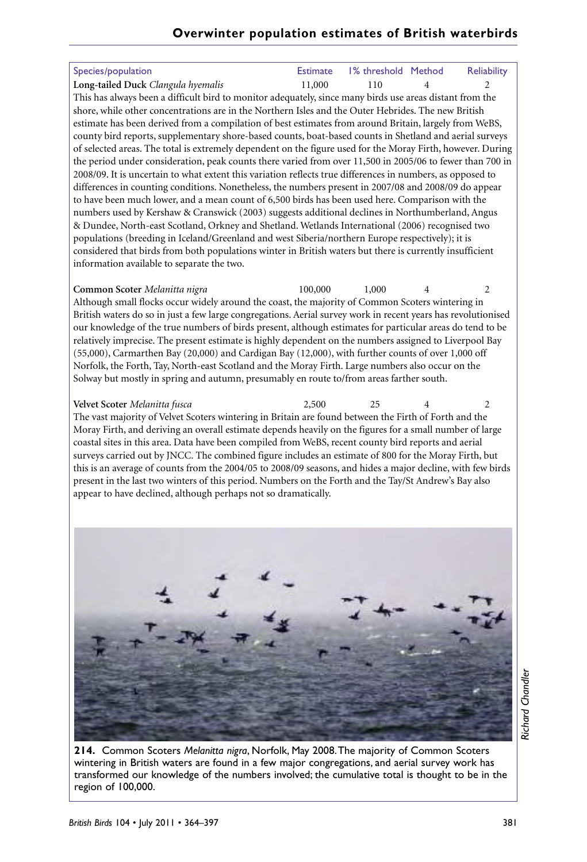| Species/population<br>Long-tailed Duck Clangula hyemalis<br>This has always been a difficult bird to monitor adequately, since many birds use areas distant from the<br>shore, while other concentrations are in the Northern Isles and the Outer Hebrides. The new British<br>estimate has been derived from a compilation of best estimates from around Britain, largely from WeBS,<br>county bird reports, supplementary shore-based counts, boat-based counts in Shetland and aerial surveys<br>of selected areas. The total is extremely dependent on the figure used for the Moray Firth, however. During<br>the period under consideration, peak counts there varied from over 11,500 in 2005/06 to fewer than 700 in<br>2008/09. It is uncertain to what extent this variation reflects true differences in numbers, as opposed to<br>differences in counting conditions. Nonetheless, the numbers present in 2007/08 and 2008/09 do appear<br>to have been much lower, and a mean count of 6,500 birds has been used here. Comparison with the<br>numbers used by Kershaw & Cranswick (2003) suggests additional declines in Northumberland, Angus<br>& Dundee, North-east Scotland, Orkney and Shetland. Wetlands International (2006) recognised two<br>populations (breeding in Iceland/Greenland and west Siberia/northern Europe respectively); it is<br>considered that birds from both populations winter in British waters but there is currently insufficient<br>information available to separate the two. | <b>Estimate</b><br>11,000 | 1% threshold Method<br>110 | 4 | Reliability<br>$\overline{c}$ |
|-------------------------------------------------------------------------------------------------------------------------------------------------------------------------------------------------------------------------------------------------------------------------------------------------------------------------------------------------------------------------------------------------------------------------------------------------------------------------------------------------------------------------------------------------------------------------------------------------------------------------------------------------------------------------------------------------------------------------------------------------------------------------------------------------------------------------------------------------------------------------------------------------------------------------------------------------------------------------------------------------------------------------------------------------------------------------------------------------------------------------------------------------------------------------------------------------------------------------------------------------------------------------------------------------------------------------------------------------------------------------------------------------------------------------------------------------------------------------------------------------------------------------------|---------------------------|----------------------------|---|-------------------------------|
| Common Scoter Melanitta nigra<br>Although small flocks occur widely around the coast, the majority of Common Scoters wintering in<br>British waters do so in just a few large congregations. Aerial survey work in recent years has revolutionised<br>our knowledge of the true numbers of birds present, although estimates for particular areas do tend to be<br>relatively imprecise. The present estimate is highly dependent on the numbers assigned to Liverpool Bay<br>(55,000), Carmarthen Bay (20,000) and Cardigan Bay (12,000), with further counts of over 1,000 off<br>Norfolk, the Forth, Tay, North-east Scotland and the Moray Firth. Large numbers also occur on the<br>Solway but mostly in spring and autumn, presumably en route to/from areas farther south.                                                                                                                                                                                                                                                                                                                                                                                                                                                                                                                                                                                                                                                                                                                                             | 100,000                   | 1,000                      | 4 | 2                             |
| Velvet Scoter Melanitta fusca<br>The vast majority of Velvet Scoters wintering in Britain are found between the Firth of Forth and the<br>Moray Firth, and deriving an overall estimate depends heavily on the figures for a small number of large<br>coastal sites in this area. Data have been compiled from WeBS, recent county bird reports and aerial<br>surveys carried out by JNCC. The combined figure includes an estimate of 800 for the Moray Firth, but<br>this is an average of counts from the 2004/05 to 2008/09 seasons, and hides a major decline, with few birds<br>present in the last two winters of this period. Numbers on the Forth and the Tay/St Andrew's Bay also<br>appear to have declined, although perhaps not so dramatically.                                                                                                                                                                                                                                                                                                                                                                                                                                                                                                                                                                                                                                                                                                                                                                 | 2,500                     | 25                         | 4 | 2                             |
|                                                                                                                                                                                                                                                                                                                                                                                                                                                                                                                                                                                                                                                                                                                                                                                                                                                                                                                                                                                                                                                                                                                                                                                                                                                                                                                                                                                                                                                                                                                               |                           |                            |   |                               |

**Richard Chandler** *Richard Chandler*

**214.** Common Scoters *Melanitta nigra*, Norfolk, May 2008.The majority of Common Scoters wintering in British waters are found in a few major congregations, and aerial survey work has transformed our knowledge of the numbers involved; the cumulative total is thought to be in the region of 100,000.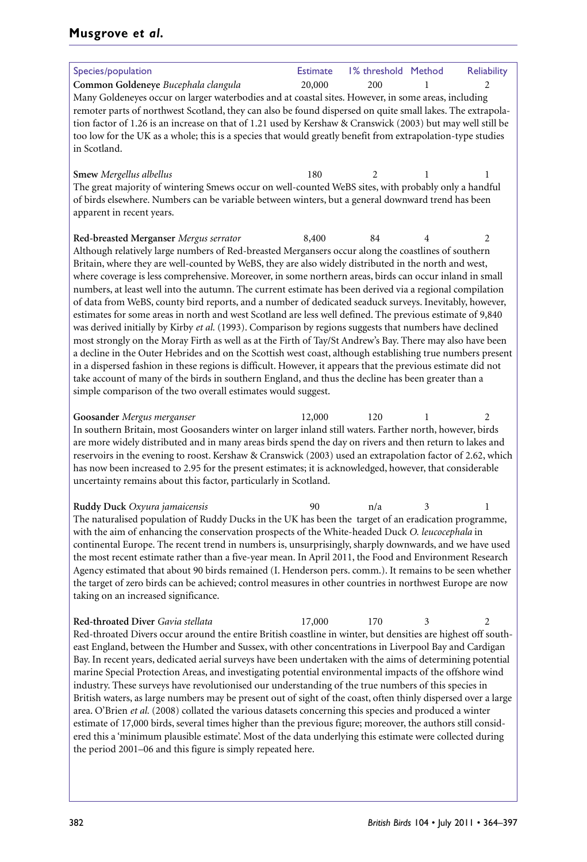## **Musgrove** *et al.*

| Species/population                                                                                                                                                                                                    | <b>Estimate</b> | 1% threshold Method |   | <b>Reliability</b> |
|-----------------------------------------------------------------------------------------------------------------------------------------------------------------------------------------------------------------------|-----------------|---------------------|---|--------------------|
| Common Goldeneye Bucephala clangula                                                                                                                                                                                   | 20,000          | 200                 | 1 | 2                  |
| Many Goldeneyes occur on larger waterbodies and at coastal sites. However, in some areas, including                                                                                                                   |                 |                     |   |                    |
| remoter parts of northwest Scotland, they can also be found dispersed on quite small lakes. The extrapola-                                                                                                            |                 |                     |   |                    |
| tion factor of 1.26 is an increase on that of 1.21 used by Kershaw & Cranswick (2003) but may well still be                                                                                                           |                 |                     |   |                    |
| too low for the UK as a whole; this is a species that would greatly benefit from extrapolation-type studies                                                                                                           |                 |                     |   |                    |
| in Scotland.                                                                                                                                                                                                          |                 |                     |   |                    |
|                                                                                                                                                                                                                       |                 |                     |   |                    |
| Smew Mergellus albellus                                                                                                                                                                                               | 180             | 2                   | 1 | 1                  |
| The great majority of wintering Smews occur on well-counted WeBS sites, with probably only a handful                                                                                                                  |                 |                     |   |                    |
| of birds elsewhere. Numbers can be variable between winters, but a general downward trend has been<br>apparent in recent years.                                                                                       |                 |                     |   |                    |
|                                                                                                                                                                                                                       |                 |                     |   |                    |
| Red-breasted Merganser Mergus serrator                                                                                                                                                                                | 8,400           | 84                  | 4 | 2                  |
| Although relatively large numbers of Red-breasted Mergansers occur along the coastlines of southern                                                                                                                   |                 |                     |   |                    |
| Britain, where they are well-counted by WeBS, they are also widely distributed in the north and west,                                                                                                                 |                 |                     |   |                    |
| where coverage is less comprehensive. Moreover, in some northern areas, birds can occur inland in small                                                                                                               |                 |                     |   |                    |
| numbers, at least well into the autumn. The current estimate has been derived via a regional compilation                                                                                                              |                 |                     |   |                    |
| of data from WeBS, county bird reports, and a number of dedicated seaduck surveys. Inevitably, however,                                                                                                               |                 |                     |   |                    |
| estimates for some areas in north and west Scotland are less well defined. The previous estimate of 9,840                                                                                                             |                 |                     |   |                    |
| was derived initially by Kirby et al. (1993). Comparison by regions suggests that numbers have declined                                                                                                               |                 |                     |   |                    |
| most strongly on the Moray Firth as well as at the Firth of Tay/St Andrew's Bay. There may also have been                                                                                                             |                 |                     |   |                    |
| a decline in the Outer Hebrides and on the Scottish west coast, although establishing true numbers present                                                                                                            |                 |                     |   |                    |
| in a dispersed fashion in these regions is difficult. However, it appears that the previous estimate did not<br>take account of many of the birds in southern England, and thus the decline has been greater than a   |                 |                     |   |                    |
| simple comparison of the two overall estimates would suggest.                                                                                                                                                         |                 |                     |   |                    |
|                                                                                                                                                                                                                       |                 |                     |   |                    |
| Goosander Mergus merganser                                                                                                                                                                                            | 12,000          | 120                 | 1 | 2                  |
| In southern Britain, most Goosanders winter on larger inland still waters. Farther north, however, birds                                                                                                              |                 |                     |   |                    |
| are more widely distributed and in many areas birds spend the day on rivers and then return to lakes and                                                                                                              |                 |                     |   |                    |
| reservoirs in the evening to roost. Kershaw & Cranswick (2003) used an extrapolation factor of 2.62, which                                                                                                            |                 |                     |   |                    |
| has now been increased to 2.95 for the present estimates; it is acknowledged, however, that considerable                                                                                                              |                 |                     |   |                    |
| uncertainty remains about this factor, particularly in Scotland.                                                                                                                                                      |                 |                     |   |                    |
| Ruddy Duck Oxyura jamaicensis                                                                                                                                                                                         | 90              | n/a                 | 3 | 1                  |
| The naturalised population of Ruddy Ducks in the UK has been the target of an eradication programme,                                                                                                                  |                 |                     |   |                    |
| with the aim of enhancing the conservation prospects of the White-headed Duck O. leucocephala in                                                                                                                      |                 |                     |   |                    |
| continental Europe. The recent trend in numbers is, unsurprisingly, sharply downwards, and we have used                                                                                                               |                 |                     |   |                    |
| the most recent estimate rather than a five-year mean. In April 2011, the Food and Environment Research                                                                                                               |                 |                     |   |                    |
| Agency estimated that about 90 birds remained (I. Henderson pers. comm.). It remains to be seen whether                                                                                                               |                 |                     |   |                    |
| the target of zero birds can be achieved; control measures in other countries in northwest Europe are now                                                                                                             |                 |                     |   |                    |
| taking on an increased significance.                                                                                                                                                                                  |                 |                     |   |                    |
|                                                                                                                                                                                                                       |                 |                     |   |                    |
| Red-throated Diver Gavia stellata                                                                                                                                                                                     | 17,000          | 170                 | 3 | 2                  |
| Red-throated Divers occur around the entire British coastline in winter, but densities are highest off south-<br>east England, between the Humber and Sussex, with other concentrations in Liverpool Bay and Cardigan |                 |                     |   |                    |
| Bay. In recent years, dedicated aerial surveys have been undertaken with the aims of determining potential                                                                                                            |                 |                     |   |                    |
| marine Special Protection Areas, and investigating potential environmental impacts of the offshore wind                                                                                                               |                 |                     |   |                    |
| industry. These surveys have revolutionised our understanding of the true numbers of this species in                                                                                                                  |                 |                     |   |                    |
| British waters, as large numbers may be present out of sight of the coast, often thinly dispersed over a large                                                                                                        |                 |                     |   |                    |
| area. O'Brien et al. (2008) collated the various datasets concerning this species and produced a winter                                                                                                               |                 |                     |   |                    |
| estimate of 17,000 birds, several times higher than the previous figure; moreover, the authors still consid-                                                                                                          |                 |                     |   |                    |
| ered this a 'minimum plausible estimate'. Most of the data underlying this estimate were collected during                                                                                                             |                 |                     |   |                    |
| the period 2001–06 and this figure is simply repeated here.                                                                                                                                                           |                 |                     |   |                    |
|                                                                                                                                                                                                                       |                 |                     |   |                    |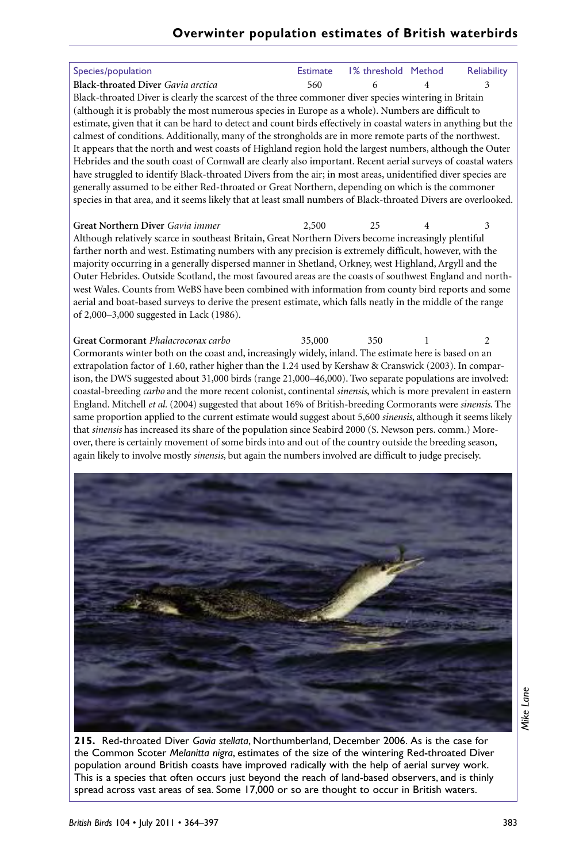| Species/population                                                                                                                                                                                                   | <b>Estimate</b> | 1% threshold Method | Reliability |
|----------------------------------------------------------------------------------------------------------------------------------------------------------------------------------------------------------------------|-----------------|---------------------|-------------|
| Black-throated Diver Gavia arctica                                                                                                                                                                                   | 560             | 6                   | 3           |
| Black-throated Diver is clearly the scarcest of the three commoner diver species wintering in Britain                                                                                                                |                 |                     |             |
| (although it is probably the most numerous species in Europe as a whole). Numbers are difficult to                                                                                                                   |                 |                     |             |
| estimate, given that it can be hard to detect and count birds effectively in coastal waters in anything but the                                                                                                      |                 |                     |             |
| calmest of conditions. Additionally, many of the strongholds are in more remote parts of the northwest.<br>It appears that the north and west coasts of Highland region hold the largest numbers, although the Outer |                 |                     |             |
| Hebrides and the south coast of Cornwall are clearly also important. Recent aerial surveys of coastal waters                                                                                                         |                 |                     |             |
| have struggled to identify Black-throated Divers from the air; in most areas, unidentified diver species are                                                                                                         |                 |                     |             |
| generally assumed to be either Red-throated or Great Northern, depending on which is the commoner                                                                                                                    |                 |                     |             |
| species in that area, and it seems likely that at least small numbers of Black-throated Divers are overlooked.                                                                                                       |                 |                     |             |
|                                                                                                                                                                                                                      |                 |                     |             |
| Great Northern Diver Gavia immer                                                                                                                                                                                     | 2,500           | 25                  | 3           |
| Although relatively scarce in southeast Britain, Great Northern Divers become increasingly plentiful                                                                                                                 |                 |                     |             |
| farther north and west. Estimating numbers with any precision is extremely difficult, however, with the<br>majority occurring in a generally dispersed manner in Shetland, Orkney, west Highland, Argyll and the     |                 |                     |             |
| Outer Hebrides. Outside Scotland, the most favoured areas are the coasts of southwest England and north-                                                                                                             |                 |                     |             |
| west Wales. Counts from WeBS have been combined with information from county bird reports and some                                                                                                                   |                 |                     |             |
| aerial and boat-based surveys to derive the present estimate, which falls neatly in the middle of the range                                                                                                          |                 |                     |             |
| of 2,000-3,000 suggested in Lack (1986).                                                                                                                                                                             |                 |                     |             |
|                                                                                                                                                                                                                      |                 |                     |             |
| Great Cormorant Phalacrocorax carbo                                                                                                                                                                                  | 35,000          | 350                 | 2           |
| Cormorants winter both on the coast and, increasingly widely, inland. The estimate here is based on an                                                                                                               |                 |                     |             |
| extrapolation factor of 1.60, rather higher than the 1.24 used by Kershaw & Cranswick (2003). In compar-<br>ison, the DWS suggested about 31,000 birds (range 21,000-46,000). Two separate populations are involved: |                 |                     |             |
| coastal-breeding carbo and the more recent colonist, continental sinensis, which is more prevalent in eastern                                                                                                        |                 |                     |             |
| England. Mitchell et al. (2004) suggested that about 16% of British-breeding Cormorants were sinensis. The                                                                                                           |                 |                     |             |
| same proportion applied to the current estimate would suggest about 5,600 sinensis, although it seems likely                                                                                                         |                 |                     |             |
| that sinensis has increased its share of the population since Seabird 2000 (S. Newson pers. comm.) More-                                                                                                             |                 |                     |             |
| over, there is certainly movement of some birds into and out of the country outside the breeding season,                                                                                                             |                 |                     |             |
| again likely to involve mostly sinensis, but again the numbers involved are difficult to judge precisely.                                                                                                            |                 |                     |             |
|                                                                                                                                                                                                                      |                 |                     |             |
|                                                                                                                                                                                                                      |                 |                     |             |
|                                                                                                                                                                                                                      |                 |                     |             |
|                                                                                                                                                                                                                      |                 |                     |             |
|                                                                                                                                                                                                                      |                 |                     |             |
|                                                                                                                                                                                                                      |                 |                     |             |
|                                                                                                                                                                                                                      |                 |                     |             |
|                                                                                                                                                                                                                      |                 |                     |             |
|                                                                                                                                                                                                                      |                 |                     |             |
|                                                                                                                                                                                                                      |                 |                     |             |
|                                                                                                                                                                                                                      |                 |                     |             |
|                                                                                                                                                                                                                      |                 |                     |             |
|                                                                                                                                                                                                                      |                 |                     |             |
|                                                                                                                                                                                                                      |                 |                     |             |
|                                                                                                                                                                                                                      |                 |                     |             |
|                                                                                                                                                                                                                      |                 |                     |             |
|                                                                                                                                                                                                                      |                 |                     |             |
|                                                                                                                                                                                                                      |                 |                     |             |

Mike Lane *Mike Lane*

**215.** Red-throated Diver *Gavia stellata*, Northumberland, December 2006. As is the case for the Common Scoter *Melanitta nigra*, estimates of the size of the wintering Red-throated Diver population around British coasts have improved radically with the help of aerial survey work. This is a species that often occurs just beyond the reach of land-based observers, and is thinly spread across vast areas of sea. Some 17,000 or so are thought to occur in British waters.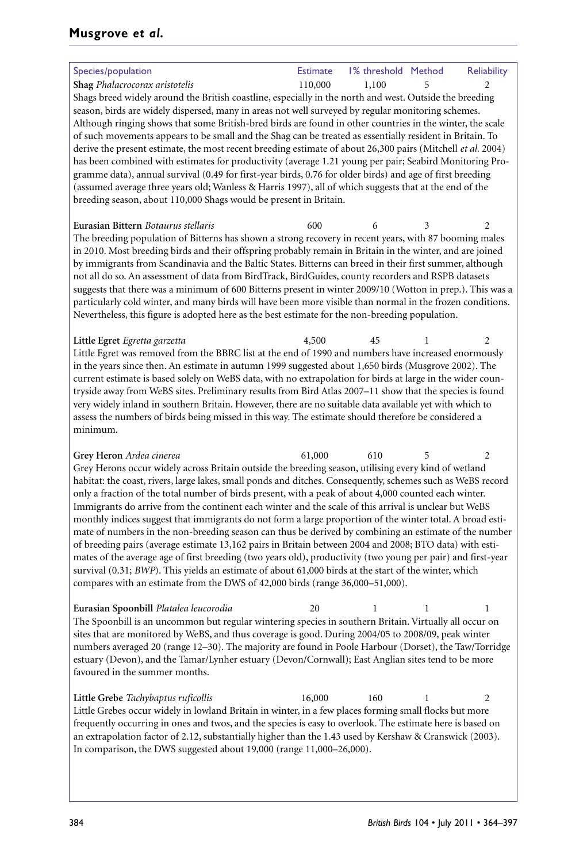| Species/population                                                                                                                                                                                                                                                                                                                                                                                                                                                                                                                                                                                                                                                                                                                                                                                                                                                                                                                                                                                                                                                                                                                                                                                                                                                                                                                     | <b>Estimate</b> | 1% threshold Method |   | Reliability |
|----------------------------------------------------------------------------------------------------------------------------------------------------------------------------------------------------------------------------------------------------------------------------------------------------------------------------------------------------------------------------------------------------------------------------------------------------------------------------------------------------------------------------------------------------------------------------------------------------------------------------------------------------------------------------------------------------------------------------------------------------------------------------------------------------------------------------------------------------------------------------------------------------------------------------------------------------------------------------------------------------------------------------------------------------------------------------------------------------------------------------------------------------------------------------------------------------------------------------------------------------------------------------------------------------------------------------------------|-----------------|---------------------|---|-------------|
| Shag Phalacrocorax aristotelis                                                                                                                                                                                                                                                                                                                                                                                                                                                                                                                                                                                                                                                                                                                                                                                                                                                                                                                                                                                                                                                                                                                                                                                                                                                                                                         | 110,000         | 1,100               | 5 | 2           |
| Shags breed widely around the British coastline, especially in the north and west. Outside the breeding<br>season, birds are widely dispersed, many in areas not well surveyed by regular monitoring schemes.<br>Although ringing shows that some British-bred birds are found in other countries in the winter, the scale<br>of such movements appears to be small and the Shag can be treated as essentially resident in Britain. To<br>derive the present estimate, the most recent breeding estimate of about 26,300 pairs (Mitchell et al. 2004)<br>has been combined with estimates for productivity (average 1.21 young per pair; Seabird Monitoring Pro-<br>gramme data), annual survival (0.49 for first-year birds, 0.76 for older birds) and age of first breeding<br>(assumed average three years old; Wanless & Harris 1997), all of which suggests that at the end of the<br>breeding season, about 110,000 Shags would be present in Britain.<br>Eurasian Bittern Botaurus stellaris<br>The breeding population of Bitterns has shown a strong recovery in recent years, with 87 booming males<br>in 2010. Most breeding birds and their offspring probably remain in Britain in the winter, and are joined<br>by immigrants from Scandinavia and the Baltic States. Bitterns can breed in their first summer, although | 600             | 6                   | 3 | 2           |
| not all do so. An assessment of data from BirdTrack, BirdGuides, county recorders and RSPB datasets<br>suggests that there was a minimum of 600 Bitterns present in winter 2009/10 (Wotton in prep.). This was a<br>particularly cold winter, and many birds will have been more visible than normal in the frozen conditions.<br>Nevertheless, this figure is adopted here as the best estimate for the non-breeding population.                                                                                                                                                                                                                                                                                                                                                                                                                                                                                                                                                                                                                                                                                                                                                                                                                                                                                                      |                 |                     |   |             |
| Little Egret Egretta garzetta<br>Little Egret was removed from the BBRC list at the end of 1990 and numbers have increased enormously<br>in the years since then. An estimate in autumn 1999 suggested about 1,650 birds (Musgrove 2002). The<br>current estimate is based solely on WeBS data, with no extrapolation for birds at large in the wider coun-<br>tryside away from WeBS sites. Preliminary results from Bird Atlas 2007-11 show that the species is found<br>very widely inland in southern Britain. However, there are no suitable data available yet with which to<br>assess the numbers of birds being missed in this way. The estimate should therefore be considered a<br>minimum.                                                                                                                                                                                                                                                                                                                                                                                                                                                                                                                                                                                                                                  | 4,500           | 45                  | 1 | 2           |
| Grey Heron Ardea cinerea<br>Grey Herons occur widely across Britain outside the breeding season, utilising every kind of wetland<br>habitat: the coast, rivers, large lakes, small ponds and ditches. Consequently, schemes such as WeBS record<br>only a fraction of the total number of birds present, with a peak of about 4,000 counted each winter.<br>Immigrants do arrive from the continent each winter and the scale of this arrival is unclear but WeBS<br>monthly indices suggest that immigrants do not form a large proportion of the winter total. A broad esti-<br>mate of numbers in the non-breeding season can thus be derived by combining an estimate of the number<br>of breeding pairs (average estimate 13,162 pairs in Britain between 2004 and 2008; BTO data) with esti-<br>mates of the average age of first breeding (two years old), productivity (two young per pair) and first-year<br>survival (0.31; BWP). This yields an estimate of about 61,000 birds at the start of the winter, which<br>compares with an estimate from the DWS of 42,000 birds (range 36,000-51,000).                                                                                                                                                                                                                           | 61,000          | 610                 | 5 | 2           |
| Eurasian Spoonbill Platalea leucorodia<br>The Spoonbill is an uncommon but regular wintering species in southern Britain. Virtually all occur on<br>sites that are monitored by WeBS, and thus coverage is good. During 2004/05 to 2008/09, peak winter<br>numbers averaged 20 (range 12-30). The majority are found in Poole Harbour (Dorset), the Taw/Torridge<br>estuary (Devon), and the Tamar/Lynher estuary (Devon/Cornwall); East Anglian sites tend to be more<br>favoured in the summer months.                                                                                                                                                                                                                                                                                                                                                                                                                                                                                                                                                                                                                                                                                                                                                                                                                               | 20              | 1                   | 1 | 1           |
| Little Grebe Tachybaptus ruficollis<br>Little Grebes occur widely in lowland Britain in winter, in a few places forming small flocks but more<br>frequently occurring in ones and twos, and the species is easy to overlook. The estimate here is based on<br>an extrapolation factor of 2.12, substantially higher than the 1.43 used by Kershaw & Cranswick (2003).                                                                                                                                                                                                                                                                                                                                                                                                                                                                                                                                                                                                                                                                                                                                                                                                                                                                                                                                                                  | 16,000          | 160                 | 1 | 2           |

In comparison, the DWS suggested about 19,000 (range 11,000–26,000).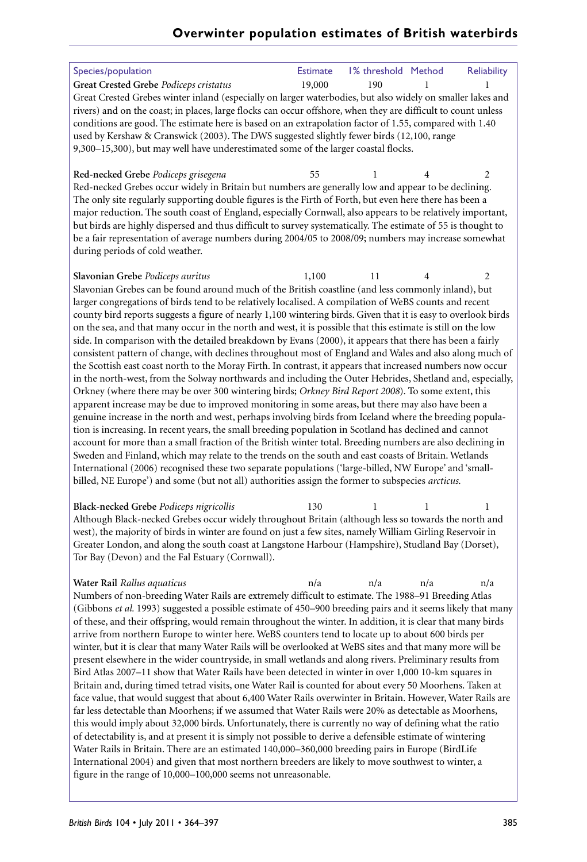| Species/population                                                                                                                                                                                             | <b>Estimate</b> | 1% threshold Method |   | <b>Reliability</b> |
|----------------------------------------------------------------------------------------------------------------------------------------------------------------------------------------------------------------|-----------------|---------------------|---|--------------------|
| Great Crested Grebe Podiceps cristatus                                                                                                                                                                         | 19,000          | 190                 | 1 | 1                  |
| Great Crested Grebes winter inland (especially on larger waterbodies, but also widely on smaller lakes and                                                                                                     |                 |                     |   |                    |
| rivers) and on the coast; in places, large flocks can occur offshore, when they are difficult to count unless                                                                                                  |                 |                     |   |                    |
| conditions are good. The estimate here is based on an extrapolation factor of 1.55, compared with 1.40                                                                                                         |                 |                     |   |                    |
| used by Kershaw & Cranswick (2003). The DWS suggested slightly fewer birds (12,100, range                                                                                                                      |                 |                     |   |                    |
| 9,300-15,300), but may well have underestimated some of the larger coastal flocks.                                                                                                                             |                 |                     |   |                    |
|                                                                                                                                                                                                                |                 |                     |   |                    |
| Red-necked Grebe Podiceps grisegena                                                                                                                                                                            | 55              | 1                   | 4 | $\overline{2}$     |
| Red-necked Grebes occur widely in Britain but numbers are generally low and appear to be declining.<br>The only site regularly supporting double figures is the Firth of Forth, but even here there has been a |                 |                     |   |                    |
| major reduction. The south coast of England, especially Cornwall, also appears to be relatively important,                                                                                                     |                 |                     |   |                    |
| but birds are highly dispersed and thus difficult to survey systematically. The estimate of 55 is thought to                                                                                                   |                 |                     |   |                    |
| be a fair representation of average numbers during 2004/05 to 2008/09; numbers may increase somewhat                                                                                                           |                 |                     |   |                    |
| during periods of cold weather.                                                                                                                                                                                |                 |                     |   |                    |
|                                                                                                                                                                                                                |                 |                     |   |                    |
| Slavonian Grebe Podiceps auritus                                                                                                                                                                               | 1,100           | 11                  | 4 | $\overline{2}$     |
| Slavonian Grebes can be found around much of the British coastline (and less commonly inland), but                                                                                                             |                 |                     |   |                    |
| larger congregations of birds tend to be relatively localised. A compilation of WeBS counts and recent                                                                                                         |                 |                     |   |                    |
| county bird reports suggests a figure of nearly 1,100 wintering birds. Given that it is easy to overlook birds                                                                                                 |                 |                     |   |                    |
| on the sea, and that many occur in the north and west, it is possible that this estimate is still on the low                                                                                                   |                 |                     |   |                    |
| side. In comparison with the detailed breakdown by Evans (2000), it appears that there has been a fairly                                                                                                       |                 |                     |   |                    |
| consistent pattern of change, with declines throughout most of England and Wales and also along much of                                                                                                        |                 |                     |   |                    |
| the Scottish east coast north to the Moray Firth. In contrast, it appears that increased numbers now occur                                                                                                     |                 |                     |   |                    |
| in the north-west, from the Solway northwards and including the Outer Hebrides, Shetland and, especially,                                                                                                      |                 |                     |   |                    |
| Orkney (where there may be over 300 wintering birds; Orkney Bird Report 2008). To some extent, this<br>apparent increase may be due to improved monitoring in some areas, but there may also have been a       |                 |                     |   |                    |
| genuine increase in the north and west, perhaps involving birds from Iceland where the breeding popula-                                                                                                        |                 |                     |   |                    |
| tion is increasing. In recent years, the small breeding population in Scotland has declined and cannot                                                                                                         |                 |                     |   |                    |
| account for more than a small fraction of the British winter total. Breeding numbers are also declining in                                                                                                     |                 |                     |   |                    |
| Sweden and Finland, which may relate to the trends on the south and east coasts of Britain. Wetlands                                                                                                           |                 |                     |   |                    |
| International (2006) recognised these two separate populations ('large-billed, NW Europe' and 'small-                                                                                                          |                 |                     |   |                    |
| billed, NE Europe') and some (but not all) authorities assign the former to subspecies arcticus.                                                                                                               |                 |                     |   |                    |
|                                                                                                                                                                                                                |                 |                     |   |                    |
| Black-necked Grebe Podiceps nigricollis                                                                                                                                                                        | 130             | 1                   | 1 | 1                  |
| Although Black-necked Grebes occur widely throughout Britain (although less so towards the north and                                                                                                           |                 |                     |   |                    |

Although Black-necked Grebes occur widely throughout Britain (although less so towards the north and west), the majority of birds in winter are found on just a few sites, namely William Girling Reservoir in Greater London, and along the south coast at Langstone Harbour (Hampshire), Studland Bay (Dorset), Tor Bay (Devon) and the Fal Estuary (Cornwall).

**Water Rail** *Rallus aquaticus* n/a n/a n/a n/a Numbers of non-breeding Water Rails are extremely difficult to estimate. The 1988–91 Breeding Atlas (Gibbons *et al.* 1993) suggested a possible estimate of 450–900 breeding pairs and it seems likely that many of these, and their offspring, would remain throughout the winter. In addition, it is clear that many birds arrive from northern Europe to winter here. WeBS counters tend to locate up to about 600 birds per winter, but it is clear that many Water Rails will be overlooked at WeBS sites and that many more will be present elsewhere in the wider countryside, in small wetlands and along rivers. Preliminary results from Bird Atlas 2007–11 show that Water Rails have been detected in winter in over 1,000 10-km squares in Britain and, during timed tetrad visits, one Water Rail is counted for about every 50 Moorhens. Taken at face value, that would suggest that about 6,400 Water Rails overwinter in Britain. However, Water Rails are far less detectable than Moorhens; if we assumed that Water Rails were 20% as detectable as Moorhens, this would imply about 32,000 birds. Unfortunately, there is currently no way of defining what the ratio of detectability is, and at present it is simply not possible to derive a defensible estimate of wintering Water Rails in Britain. There are an estimated 140,000–360,000 breeding pairs in Europe (BirdLife International 2004) and given that most northern breeders are likely to move southwest to winter, a figure in the range of 10,000–100,000 seems not unreasonable.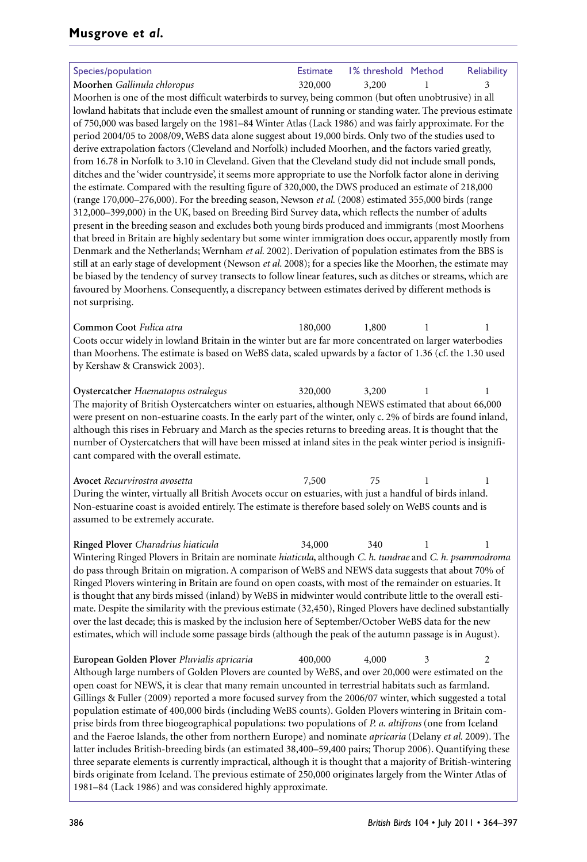| Species/population                                                                                                                                                                                                    | <b>Estimate</b> | 1% threshold Method |   | <b>Reliability</b> |  |  |
|-----------------------------------------------------------------------------------------------------------------------------------------------------------------------------------------------------------------------|-----------------|---------------------|---|--------------------|--|--|
| Moorhen Gallinula chloropus                                                                                                                                                                                           | 320,000         | 3,200               |   | 3                  |  |  |
| Moorhen is one of the most difficult waterbirds to survey, being common (but often unobtrusive) in all                                                                                                                |                 |                     |   |                    |  |  |
| lowland habitats that include even the smallest amount of running or standing water. The previous estimate                                                                                                            |                 |                     |   |                    |  |  |
| of 750,000 was based largely on the 1981–84 Winter Atlas (Lack 1986) and was fairly approximate. For the                                                                                                              |                 |                     |   |                    |  |  |
| period 2004/05 to 2008/09, WeBS data alone suggest about 19,000 birds. Only two of the studies used to                                                                                                                |                 |                     |   |                    |  |  |
| derive extrapolation factors (Cleveland and Norfolk) included Moorhen, and the factors varied greatly,                                                                                                                |                 |                     |   |                    |  |  |
| from 16.78 in Norfolk to 3.10 in Cleveland. Given that the Cleveland study did not include small ponds,                                                                                                               |                 |                     |   |                    |  |  |
| ditches and the 'wider countryside', it seems more appropriate to use the Norfolk factor alone in deriving                                                                                                            |                 |                     |   |                    |  |  |
| the estimate. Compared with the resulting figure of 320,000, the DWS produced an estimate of 218,000                                                                                                                  |                 |                     |   |                    |  |  |
| (range $170,000-276,000$ ). For the breeding season, Newson <i>et al.</i> (2008) estimated 355,000 birds (range                                                                                                       |                 |                     |   |                    |  |  |
| 312,000-399,000) in the UK, based on Breeding Bird Survey data, which reflects the number of adults                                                                                                                   |                 |                     |   |                    |  |  |
| present in the breeding season and excludes both young birds produced and immigrants (most Moorhens                                                                                                                   |                 |                     |   |                    |  |  |
| that breed in Britain are highly sedentary but some winter immigration does occur, apparently mostly from                                                                                                             |                 |                     |   |                    |  |  |
| Denmark and the Netherlands; Wernham et al. 2002). Derivation of population estimates from the BBS is                                                                                                                 |                 |                     |   |                    |  |  |
| still at an early stage of development (Newson et al. 2008); for a species like the Moorhen, the estimate may                                                                                                         |                 |                     |   |                    |  |  |
| be biased by the tendency of survey transects to follow linear features, such as ditches or streams, which are<br>favoured by Moorhens. Consequently, a discrepancy between estimates derived by different methods is |                 |                     |   |                    |  |  |
| not surprising.                                                                                                                                                                                                       |                 |                     |   |                    |  |  |
|                                                                                                                                                                                                                       |                 |                     |   |                    |  |  |
| Common Coot Fulica atra                                                                                                                                                                                               | 180,000         | 1,800               | 1 | 1                  |  |  |
| Coots occur widely in lowland Britain in the winter but are far more concentrated on larger waterbodies                                                                                                               |                 |                     |   |                    |  |  |
| than Moorhens. The estimate is based on WeBS data, scaled upwards by a factor of 1.36 (cf. the 1.30 used                                                                                                              |                 |                     |   |                    |  |  |
| by Kershaw & Cranswick 2003).                                                                                                                                                                                         |                 |                     |   |                    |  |  |
|                                                                                                                                                                                                                       |                 |                     |   |                    |  |  |
| Oystercatcher Haematopus ostralegus                                                                                                                                                                                   | 320,000         | 3,200               | L | 1                  |  |  |
| The majority of British Oystercatchers winter on estuaries, although NEWS estimated that about 66,000                                                                                                                 |                 |                     |   |                    |  |  |
| were present on non-estuarine coasts. In the early part of the winter, only c. 2% of birds are found inland,                                                                                                          |                 |                     |   |                    |  |  |
| although this rises in February and March as the species returns to breeding areas. It is thought that the                                                                                                            |                 |                     |   |                    |  |  |
| number of Oystercatchers that will have been missed at inland sites in the peak winter period is insignifi-                                                                                                           |                 |                     |   |                    |  |  |
| cant compared with the overall estimate.                                                                                                                                                                              |                 |                     |   |                    |  |  |
|                                                                                                                                                                                                                       |                 |                     |   |                    |  |  |

**Avocet** Recurvirostra avosetta 7,500 75 During the winter, virtually all British Avocets occur on estuaries, with just a handful of birds inland. Non-estuarine coast is avoided entirely. The estimate is therefore based solely on WeBS counts and is assumed to be extremely accurate.

**Ringed Plover** *Charadrius hiaticula* 34,000 340 1 1 Wintering Ringed Plovers in Britain are nominate *hiaticula*, although *C. h. tundrae* and *C. h. psammodroma* do pass through Britain on migration. A comparison of WeBS and NEWS data suggests that about 70% of Ringed Plovers wintering in Britain are found on open coasts, with most of the remainder on estuaries. It is thought that any birds missed (inland) by WeBS in midwinter would contribute little to the overall estimate. Despite the similarity with the previous estimate (32,450), Ringed Plovers have declined substantially over the last decade; this is masked by the inclusion here of September/October WeBS data for the new estimates, which will include some passage birds (although the peak of the autumn passage is in August).

**European Golden Plover** *Pluvialis apricaria* 400,000 4,000 Although large numbers of Golden Plovers are counted by WeBS, and over 20,000 were estimated on the open coast for NEWS, it is clear that many remain uncounted in terrestrial habitats such as farmland. Gillings & Fuller (2009) reported a more focused survey from the 2006/07 winter, which suggested a total population estimate of 400,000 birds (including WeBS counts). Golden Plovers wintering in Britain comprise birds from three biogeographical populations: two populations of *P. a. altifrons* (one from Iceland and the Faeroe Islands, the other from northern Europe) and nominate *apricaria* (Delany *et al.* 2009). The latter includes British-breeding birds (an estimated 38,400–59,400 pairs; Thorup 2006). Quantifying these three separate elements is currently impractical, although it is thought that a majority of British-wintering birds originate from Iceland. The previous estimate of 250,000 originates largely from the Winter Atlas of 1981–84 (Lack 1986) and was considered highly approximate.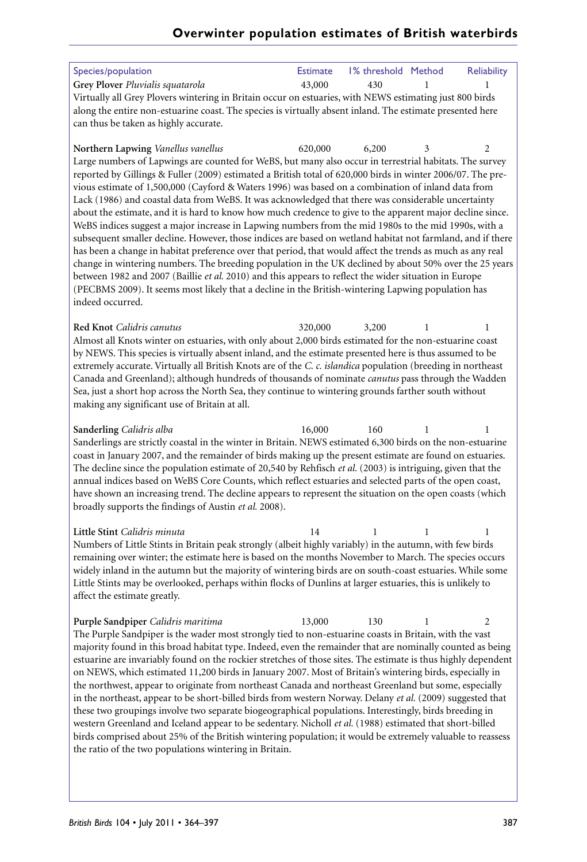| Species/population<br>Grey Plover Pluvialis squatarola<br>Virtually all Grey Plovers wintering in Britain occur on estuaries, with NEWS estimating just 800 birds                                                                                                                                                                                                                                                                                                                                                                                                                                                                                                                                                                                                                                                                                                                                                                                                                                                                                                                                                                                                                                                                                                       | <b>Estimate</b><br>43,000 | 1% threshold Method<br>430 | 1 | <b>Reliability</b><br>1 |
|-------------------------------------------------------------------------------------------------------------------------------------------------------------------------------------------------------------------------------------------------------------------------------------------------------------------------------------------------------------------------------------------------------------------------------------------------------------------------------------------------------------------------------------------------------------------------------------------------------------------------------------------------------------------------------------------------------------------------------------------------------------------------------------------------------------------------------------------------------------------------------------------------------------------------------------------------------------------------------------------------------------------------------------------------------------------------------------------------------------------------------------------------------------------------------------------------------------------------------------------------------------------------|---------------------------|----------------------------|---|-------------------------|
| along the entire non-estuarine coast. The species is virtually absent inland. The estimate presented here<br>can thus be taken as highly accurate.                                                                                                                                                                                                                                                                                                                                                                                                                                                                                                                                                                                                                                                                                                                                                                                                                                                                                                                                                                                                                                                                                                                      |                           |                            |   |                         |
| Northern Lapwing Vanellus vanellus<br>Large numbers of Lapwings are counted for WeBS, but many also occur in terrestrial habitats. The survey<br>reported by Gillings & Fuller (2009) estimated a British total of 620,000 birds in winter 2006/07. The pre-<br>vious estimate of 1,500,000 (Cayford & Waters 1996) was based on a combination of inland data from<br>Lack (1986) and coastal data from WeBS. It was acknowledged that there was considerable uncertainty<br>about the estimate, and it is hard to know how much credence to give to the apparent major decline since.<br>WeBS indices suggest a major increase in Lapwing numbers from the mid 1980s to the mid 1990s, with a<br>subsequent smaller decline. However, those indices are based on wetland habitat not farmland, and if there<br>has been a change in habitat preference over that period, that would affect the trends as much as any real<br>change in wintering numbers. The breeding population in the UK declined by about 50% over the 25 years<br>between 1982 and 2007 (Baillie et al. 2010) and this appears to reflect the wider situation in Europe<br>(PECBMS 2009). It seems most likely that a decline in the British-wintering Lapwing population has<br>indeed occurred. | 620,000                   | 6,200                      | 3 | 2                       |
| Red Knot Calidris canutus<br>Almost all Knots winter on estuaries, with only about 2,000 birds estimated for the non-estuarine coast<br>by NEWS. This species is virtually absent inland, and the estimate presented here is thus assumed to be<br>extremely accurate. Virtually all British Knots are of the C. c. islandica population (breeding in northeast<br>Canada and Greenland); although hundreds of thousands of nominate canutus pass through the Wadden<br>Sea, just a short hop across the North Sea, they continue to wintering grounds farther south without<br>making any significant use of Britain at all.                                                                                                                                                                                                                                                                                                                                                                                                                                                                                                                                                                                                                                           | 320,000                   | 3,200                      | 1 | 1                       |
| Sanderling Calidris alba<br>Sanderlings are strictly coastal in the winter in Britain. NEWS estimated 6,300 birds on the non-estuarine<br>coast in January 2007, and the remainder of birds making up the present estimate are found on estuaries.<br>The decline since the population estimate of 20,540 by Rehfisch et al. (2003) is intriguing, given that the<br>annual indices based on WeBS Core Counts, which reflect estuaries and selected parts of the open coast,<br>have shown an increasing trend. The decline appears to represent the situation on the open coasts (which<br>broadly supports the findings of Austin et al. 2008).                                                                                                                                                                                                                                                                                                                                                                                                                                                                                                                                                                                                                       | 16,000                    | 160                        | 1 | 1                       |
| Little Stint Calidris minuta<br>Numbers of Little Stints in Britain peak strongly (albeit highly variably) in the autumn, with few birds<br>remaining over winter; the estimate here is based on the months November to March. The species occurs<br>widely inland in the autumn but the majority of wintering birds are on south-coast estuaries. While some<br>Little Stints may be overlooked, perhaps within flocks of Dunlins at larger estuaries, this is unlikely to<br>affect the estimate greatly.                                                                                                                                                                                                                                                                                                                                                                                                                                                                                                                                                                                                                                                                                                                                                             | 14                        | 1                          | 1 | 1                       |
| Purple Sandpiper Calidris maritima<br>The Purple Sandpiper is the wader most strongly tied to non-estuarine coasts in Britain, with the vast<br>majority found in this broad habitat type. Indeed, even the remainder that are nominally counted as being<br>estuarine are invariably found on the rockier stretches of those sites. The estimate is thus highly dependent<br>on NEWS, which estimated 11,200 birds in January 2007. Most of Britain's wintering birds, especially in<br>the northwest, appear to originate from northeast Canada and northeast Greenland but some, especially<br>in the northeast, appear to be short-billed birds from western Norway. Delany et al. (2009) suggested that<br>these two groupings involve two separate biogeographical populations. Interestingly, birds breeding in<br>western Greenland and Iceland appear to be sedentary. Nicholl et al. (1988) estimated that short-billed<br>birds comprised about 25% of the British wintering population; it would be extremely valuable to reassess<br>the ratio of the two populations wintering in Britain.                                                                                                                                                                | 13,000                    | 130                        | 1 | 2                       |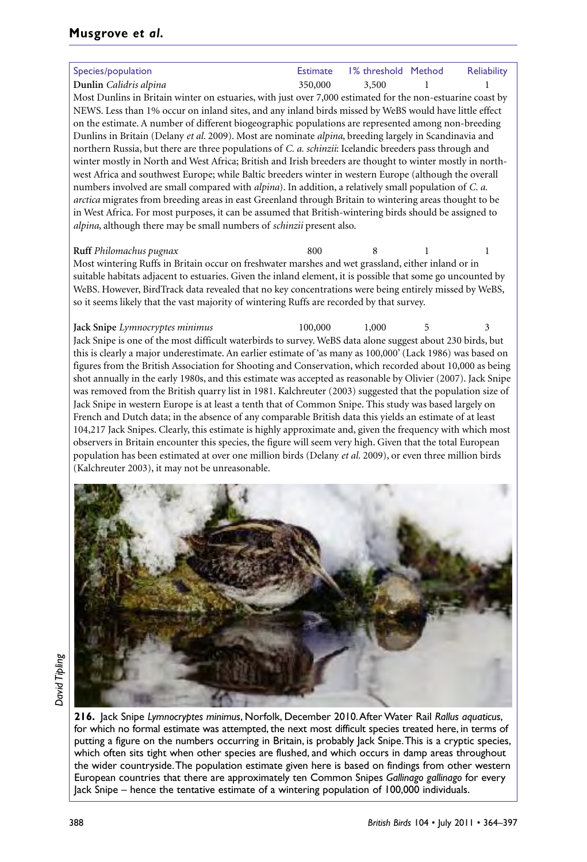## **Musgrove** *et al.*

**Dunlin** *Calidris alpina* 350,000 3,500 1 1 Most Dunlins in Britain winter on estuaries, with just over 7,000 estimated for the non-estuarine coast by NEWS. Less than 1% occur on inland sites, and any inland birds missed by WeBS would have little effect on the estimate. A number of different biogeographic populations are represented among non-breeding Dunlins in Britain (Delany *et al.* 2009). Most are nominate *alpina*, breeding largely in Scandinavia and northern Russia, but there are three populations of *C. a. schinzii*: Icelandic breeders pass through and winter mostly in North and West Africa; British and Irish breeders are thought to winter mostly in northwest Africa and southwest Europe; while Baltic breeders winter in western Europe (although the overall numbers involved are small compared with *alpina*). In addition, a relatively small population of *C. a. arctica* migrates from breeding areas in east Greenland through Britain to wintering areas thought to be in West Africa. For most purposes, it can be assumed that British-wintering birds should be assigned to *alpina*, although there may be small numbers of *schinzii* present also.

#### **Ruff** *Philomachus pugnax* 800

Most wintering Ruffs in Britain occur on freshwater marshes and wet grassland, either inland or in suitable habitats adjacent to estuaries. Given the inland element, it is possible that some go uncounted by WeBS. However, BirdTrack data revealed that no key concentrations were being entirely missed by WeBS, so it seems likely that the vast majority of wintering Ruffs are recorded by that survey.

**Jack Snipe** *Lymnocryptes minimus* 100,000 1,000 Jack Snipe is one of the most difficult waterbirds to survey. WeBS data alone suggest about 230 birds, but this is clearly a major underestimate. An earlier estimate of 'as many as 100,000'(Lack 1986) was based on figures from the British Association for Shooting and Conservation, which recorded about 10,000 as being shot annually in the early 1980s, and this estimate was accepted as reasonable by Olivier (2007). Jack Snipe was removed from the British quarry list in 1981. Kalchreuter (2003) suggested that the population size of Jack Snipe in western Europe is at least a tenth that of Common Snipe. This study was based largely on French and Dutch data; in the absence of any comparable British data this yields an estimate of at least 104,217 Jack Snipes. Clearly, this estimate is highly approximate and, given the frequency with which most observers in Britain encounter this species, the figure will seem very high. Given that the total European population has been estimated at over one million birds (Delany *et al.* 2009), or even three million birds (Kalchreuter 2003), it may not be unreasonable.



**216.** Jack Snipe *Lymnocryptes minimus*, Norfolk, December 2010.AfterWater Rail *Rallus aquaticus*, for which no formal estimate was attempted, the next most difficult species treated here, in terms of putting a figure on the numbers occurring in Britain, is probably Jack Snipe.This is a cryptic species, which often sits tight when other species are flushed, and which occurs in damp areas throughout the wider countryside.The population estimate given here is based on findings from other western European countries that there are approximately ten Common Snipes *Gallinago gallinago* for every Jack Snipe – hence the tentative estimate of a wintering population of 100,000 individuals.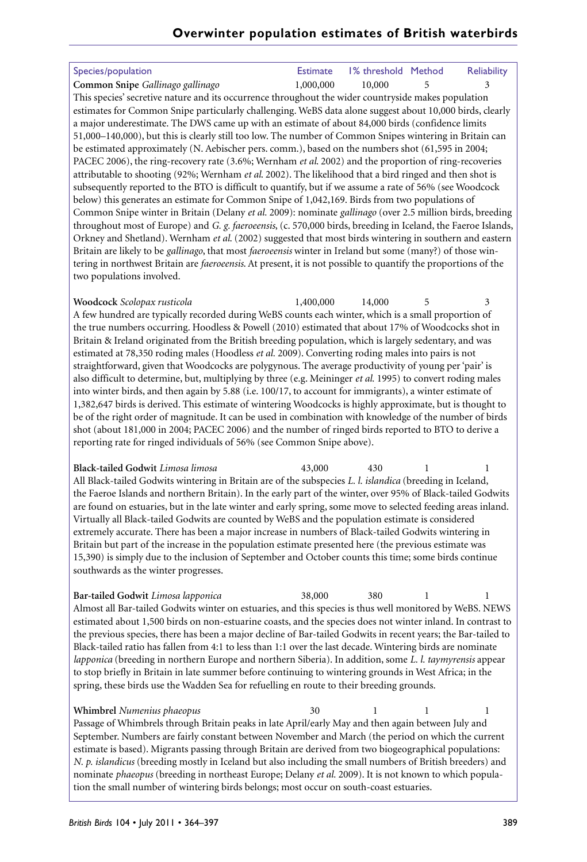| Species/population                                                                                             | <b>Estimate</b> | 1% threshold Method |   | <b>Reliability</b> |
|----------------------------------------------------------------------------------------------------------------|-----------------|---------------------|---|--------------------|
| Common Snipe Gallinago gallinago                                                                               | 1,000,000       | 10,000              | 5 | 3                  |
| This species' secretive nature and its occurrence throughout the wider countryside makes population            |                 |                     |   |                    |
| estimates for Common Snipe particularly challenging. WeBS data alone suggest about 10,000 birds, clearly       |                 |                     |   |                    |
| a major underestimate. The DWS came up with an estimate of about 84,000 birds (confidence limits               |                 |                     |   |                    |
| 51,000-140,000), but this is clearly still too low. The number of Common Snipes wintering in Britain can       |                 |                     |   |                    |
| be estimated approximately (N. Aebischer pers. comm.), based on the numbers shot (61,595 in 2004;              |                 |                     |   |                    |
| PACEC 2006), the ring-recovery rate (3.6%; Wernham <i>et al.</i> 2002) and the proportion of ring-recoveries   |                 |                     |   |                    |
| attributable to shooting (92%; Wernham et al. 2002). The likelihood that a bird ringed and then shot is        |                 |                     |   |                    |
| subsequently reported to the BTO is difficult to quantify, but if we assume a rate of 56% (see Woodcock        |                 |                     |   |                    |
| below) this generates an estimate for Common Snipe of 1,042,169. Birds from two populations of                 |                 |                     |   |                    |
| Common Snipe winter in Britain (Delany et al. 2009): nominate gallinago (over 2.5 million birds, breeding      |                 |                     |   |                    |
| throughout most of Europe) and G. g. faeroeensis, (c. 570,000 birds, breeding in Iceland, the Faeroe Islands,  |                 |                     |   |                    |
| Orkney and Shetland). Wernham et al. (2002) suggested that most birds wintering in southern and eastern        |                 |                     |   |                    |
| Britain are likely to be gallinago, that most faeroeensis winter in Ireland but some (many?) of those win-     |                 |                     |   |                    |
| tering in northwest Britain are faeroeensis. At present, it is not possible to quantify the proportions of the |                 |                     |   |                    |
| two populations involved.                                                                                      |                 |                     |   |                    |
|                                                                                                                |                 |                     |   |                    |
| Woodcock Scolopax rusticola                                                                                    | 1,400,000       | 14,000              | 5 | 3                  |
| A few hundred are typically recorded during WeBS counts each winter, which is a small proportion of            |                 |                     |   |                    |
| the true numbers occurring. Hoodless & Powell (2010) estimated that about 17% of Woodcocks shot in             |                 |                     |   |                    |
| Britain & Ireland originated from the British breeding population, which is largely sedentary, and was         |                 |                     |   |                    |
| estimated at 78,350 roding males (Hoodless et al. 2009). Converting roding males into pairs is not             |                 |                     |   |                    |
| straightforward, given that Woodcocks are polygynous. The average productivity of young per 'pair' is          |                 |                     |   |                    |
| also difficult to determine, but, multiplying by three (e.g. Meininger et al. 1995) to convert roding males    |                 |                     |   |                    |
| into winter birds, and then again by 5.88 (i.e. 100/17, to account for immigrants), a winter estimate of       |                 |                     |   |                    |

1,382,647 birds is derived. This estimate of wintering Woodcocks is highly approximate, but is thought to be of the right order of magnitude. It can be used in combination with knowledge of the number of birds shot (about 181,000 in 2004; PACEC 2006) and the number of ringed birds reported to BTO to derive a reporting rate for ringed individuals of 56% (see Common Snipe above).

**Black-tailed Godwit** *Limosa limosa* 43,000 430 1 1 All Black-tailed Godwits wintering in Britain are of the subspecies *L. l. islandica* (breeding in Iceland, the Faeroe Islands and northern Britain). In the early part of the winter, over 95% of Black-tailed Godwits are found on estuaries, but in the late winter and early spring, some move to selected feeding areas inland. Virtually all Black-tailed Godwits are counted by WeBS and the population estimate is considered extremely accurate. There has been a major increase in numbers of Black-tailed Godwits wintering in Britain but part of the increase in the population estimate presented here (the previous estimate was 15,390) is simply due to the inclusion of September and October counts this time; some birds continue southwards as the winter progresses.

**Bar-tailed Godwit** *Limosa lapponica* 38,000 380 1 1 Almost all Bar-tailed Godwits winter on estuaries, and this species is thus well monitored by WeBS. NEWS estimated about 1,500 birds on non-estuarine coasts, and the species does not winter inland. In contrast to the previous species, there has been a major decline of Bar-tailed Godwits in recent years; the Bar-tailed to Black-tailed ratio has fallen from 4:1 to less than 1:1 over the last decade. Wintering birds are nominate *lapponica* (breeding in northern Europe and northern Siberia). In addition, some *L. l. taymyrensis* appear to stop briefly in Britain in late summer before continuing to wintering grounds in West Africa; in the spring, these birds use the Wadden Sea for refuelling en route to their breeding grounds.

**Whimbrel** *Numenius phaeopus* 30 Passage of Whimbrels through Britain peaks in late April/early May and then again between July and September. Numbers are fairly constant between November and March (the period on which the current estimate is based). Migrants passing through Britain are derived from two biogeographical populations: *N. p. islandicus* (breeding mostly in Iceland but also including the small numbers of British breeders) and nominate *phaeopus* (breeding in northeast Europe; Delany *et al.* 2009). It is not known to which population the small number of wintering birds belongs; most occur on south-coast estuaries.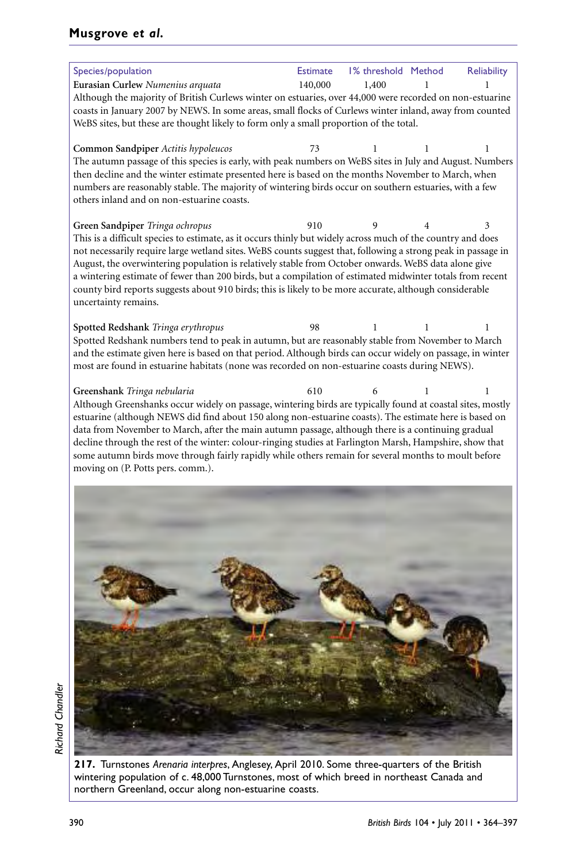## **Musgrove** *et al.*

| Species/population                                                                                                                                                                                                                                                                                                                                                                                                                                                                                                                                                                                                     | <b>Estimate</b> | 1% threshold Method |   | Reliability |
|------------------------------------------------------------------------------------------------------------------------------------------------------------------------------------------------------------------------------------------------------------------------------------------------------------------------------------------------------------------------------------------------------------------------------------------------------------------------------------------------------------------------------------------------------------------------------------------------------------------------|-----------------|---------------------|---|-------------|
| Eurasian Curlew Numenius arquata<br>Although the majority of British Curlews winter on estuaries, over 44,000 were recorded on non-estuarine<br>coasts in January 2007 by NEWS. In some areas, small flocks of Curlews winter inland, away from counted                                                                                                                                                                                                                                                                                                                                                                | 140,000         | 1,400               |   |             |
| WeBS sites, but these are thought likely to form only a small proportion of the total.                                                                                                                                                                                                                                                                                                                                                                                                                                                                                                                                 |                 |                     |   |             |
| Common Sandpiper Actitis hypoleucos<br>The autumn passage of this species is early, with peak numbers on WeBS sites in July and August. Numbers<br>then decline and the winter estimate presented here is based on the months November to March, when<br>numbers are reasonably stable. The majority of wintering birds occur on southern estuaries, with a few<br>others inland and on non-estuarine coasts.                                                                                                                                                                                                          | 73              | 1                   | 1 | 1           |
| Green Sandpiper Tringa ochropus<br>This is a difficult species to estimate, as it occurs thinly but widely across much of the country and does<br>not necessarily require large wetland sites. WeBS counts suggest that, following a strong peak in passage in<br>August, the overwintering population is relatively stable from October onwards. WeBS data alone give<br>a wintering estimate of fewer than 200 birds, but a compilation of estimated midwinter totals from recent<br>county bird reports suggests about 910 birds; this is likely to be more accurate, although considerable<br>uncertainty remains. | 910             |                     |   |             |
| Spotted Redshank Tringa erythropus<br>Spotted Redshank numbers tend to peak in autumn, but are reasonably stable from November to March<br>and the estimate given here is based on that period. Although birds can occur widely on passage, in winter<br>most are found in estuarine habitats (none was recorded on non-estuarine coasts during NEWS).                                                                                                                                                                                                                                                                 | 98              |                     |   |             |
| Greenshank Tringa nebularia<br>Although Greenshanks occur widely on passage, wintering birds are typically found at coastal sites, mostly<br>estuarine (although NEWS did find about 150 along non-estuarine coasts). The estimate here is based on<br>data from November to March, after the main autumn passage, although there is a continuing gradual<br>decline through the rest of the winter: colour-ringing studies at Farlington Marsh, Hampshire, show that<br>some autumn birds move through fairly rapidly while others remain for several months to moult before<br>moving on (P. Potts pers. comm.).     | 610             | 6                   | 1 | 1           |
|                                                                                                                                                                                                                                                                                                                                                                                                                                                                                                                                                                                                                        |                 |                     |   |             |
|                                                                                                                                                                                                                                                                                                                                                                                                                                                                                                                                                                                                                        |                 |                     |   |             |
|                                                                                                                                                                                                                                                                                                                                                                                                                                                                                                                                                                                                                        |                 |                     |   |             |

**217.** Turnstones *Arenaria interpres*, Anglesey, April 2010. Some three-quarters of the British wintering population of c. 48,000 Turnstones, most of which breed in northeast Canada and northern Greenland, occur along non-estuarine coasts.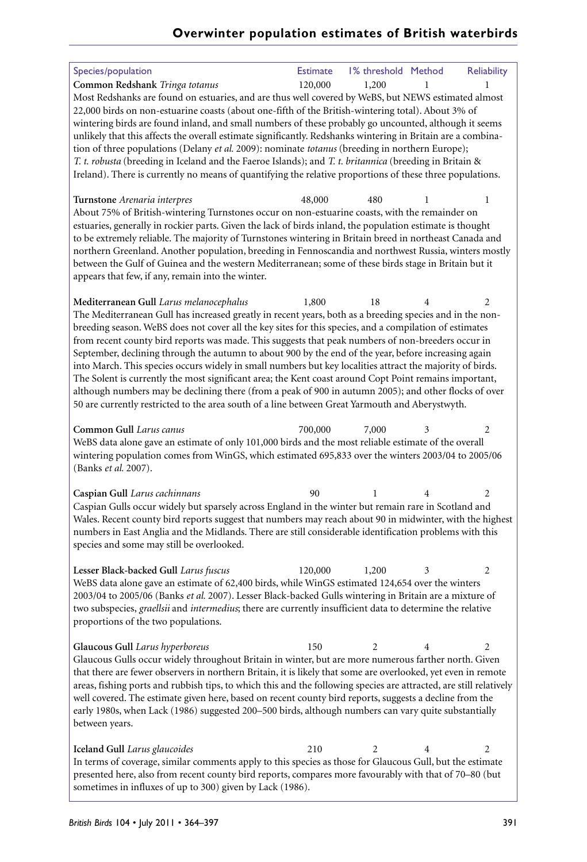| Species/population                                                                                                                                                                                                                                                                                                                                                                                                                                                                                                                                                                                                                                                                                                                                                                                                                                                   | <b>Estimate</b> | 1% threshold Method |   | Reliability |
|----------------------------------------------------------------------------------------------------------------------------------------------------------------------------------------------------------------------------------------------------------------------------------------------------------------------------------------------------------------------------------------------------------------------------------------------------------------------------------------------------------------------------------------------------------------------------------------------------------------------------------------------------------------------------------------------------------------------------------------------------------------------------------------------------------------------------------------------------------------------|-----------------|---------------------|---|-------------|
| Common Redshank Tringa totanus<br>Most Redshanks are found on estuaries, and are thus well covered by WeBS, but NEWS estimated almost                                                                                                                                                                                                                                                                                                                                                                                                                                                                                                                                                                                                                                                                                                                                | 120,000         | 1,200               |   |             |
| 22,000 birds on non-estuarine coasts (about one-fifth of the British-wintering total). About 3% of<br>wintering birds are found inland, and small numbers of these probably go uncounted, although it seems<br>unlikely that this affects the overall estimate significantly. Redshanks wintering in Britain are a combina-<br>tion of three populations (Delany et al. 2009): nominate totanus (breeding in northern Europe);<br>T. t. robusta (breeding in Iceland and the Faeroe Islands); and T. t. britannica (breeding in Britain &                                                                                                                                                                                                                                                                                                                            |                 |                     |   |             |
| Ireland). There is currently no means of quantifying the relative proportions of these three populations.                                                                                                                                                                                                                                                                                                                                                                                                                                                                                                                                                                                                                                                                                                                                                            |                 |                     |   |             |
| Turnstone Arenaria interpres<br>About 75% of British-wintering Turnstones occur on non-estuarine coasts, with the remainder on<br>estuaries, generally in rockier parts. Given the lack of birds inland, the population estimate is thought<br>to be extremely reliable. The majority of Turnstones wintering in Britain breed in northeast Canada and<br>northern Greenland. Another population, breeding in Fennoscandia and northwest Russia, winters mostly<br>between the Gulf of Guinea and the western Mediterranean; some of these birds stage in Britain but it<br>appears that few, if any, remain into the winter.                                                                                                                                                                                                                                        | 48,000          | 480                 |   | 1           |
| Mediterranean Gull Larus melanocephalus                                                                                                                                                                                                                                                                                                                                                                                                                                                                                                                                                                                                                                                                                                                                                                                                                              | 1,800           | 18                  |   | 2           |
| The Mediterranean Gull has increased greatly in recent years, both as a breeding species and in the non-<br>breeding season. WeBS does not cover all the key sites for this species, and a compilation of estimates<br>from recent county bird reports was made. This suggests that peak numbers of non-breeders occur in<br>September, declining through the autumn to about 900 by the end of the year, before increasing again<br>into March. This species occurs widely in small numbers but key localities attract the majority of birds.<br>The Solent is currently the most significant area; the Kent coast around Copt Point remains important,<br>although numbers may be declining there (from a peak of 900 in autumn 2005); and other flocks of over<br>50 are currently restricted to the area south of a line between Great Yarmouth and Aberystwyth. |                 |                     |   |             |
| Common Gull Larus canus                                                                                                                                                                                                                                                                                                                                                                                                                                                                                                                                                                                                                                                                                                                                                                                                                                              | 700,000         | 7,000               | 3 | 2           |
| WeBS data alone gave an estimate of only 101,000 birds and the most reliable estimate of the overall<br>wintering population comes from WinGS, which estimated 695,833 over the winters 2003/04 to 2005/06<br>(Banks et al. 2007).                                                                                                                                                                                                                                                                                                                                                                                                                                                                                                                                                                                                                                   |                 |                     |   |             |
| Caspian Gull Larus cachinnans                                                                                                                                                                                                                                                                                                                                                                                                                                                                                                                                                                                                                                                                                                                                                                                                                                        | 90              | 1                   |   | 2           |
| Caspian Gulls occur widely but sparsely across England in the winter but remain rare in Scotland and<br>Wales. Recent county bird reports suggest that numbers may reach about 90 in midwinter, with the highest<br>numbers in East Anglia and the Midlands. There are still considerable identification problems with this<br>species and some may still be overlooked.                                                                                                                                                                                                                                                                                                                                                                                                                                                                                             |                 |                     |   |             |
| Lesser Black-backed Gull Larus fuscus                                                                                                                                                                                                                                                                                                                                                                                                                                                                                                                                                                                                                                                                                                                                                                                                                                | 120,000         | 1,200               | 3 | 2           |
| WeBS data alone gave an estimate of 62,400 birds, while WinGS estimated 124,654 over the winters<br>2003/04 to 2005/06 (Banks et al. 2007). Lesser Black-backed Gulls wintering in Britain are a mixture of<br>two subspecies, graellsii and intermedius; there are currently insufficient data to determine the relative<br>proportions of the two populations.                                                                                                                                                                                                                                                                                                                                                                                                                                                                                                     |                 |                     |   |             |
| Glaucous Gull Larus hyperboreus<br>Glaucous Gulls occur widely throughout Britain in winter, but are more numerous farther north. Given                                                                                                                                                                                                                                                                                                                                                                                                                                                                                                                                                                                                                                                                                                                              | 150             | 2                   | 4 | 2           |
| that there are fewer observers in northern Britain, it is likely that some are overlooked, yet even in remote<br>areas, fishing ports and rubbish tips, to which this and the following species are attracted, are still relatively<br>well covered. The estimate given here, based on recent county bird reports, suggests a decline from the<br>early 1980s, when Lack (1986) suggested 200-500 birds, although numbers can vary quite substantially<br>between years.                                                                                                                                                                                                                                                                                                                                                                                             |                 |                     |   |             |
| Iceland Gull Larus glaucoides                                                                                                                                                                                                                                                                                                                                                                                                                                                                                                                                                                                                                                                                                                                                                                                                                                        | 210             | 2                   | 4 | 2           |
| In terms of coverage, similar comments apply to this species as those for Glaucous Gull, but the estimate<br>presented here, also from recent county bird reports, compares more favourably with that of 70-80 (but<br>sometimes in influxes of up to 300) given by Lack (1986).                                                                                                                                                                                                                                                                                                                                                                                                                                                                                                                                                                                     |                 |                     |   |             |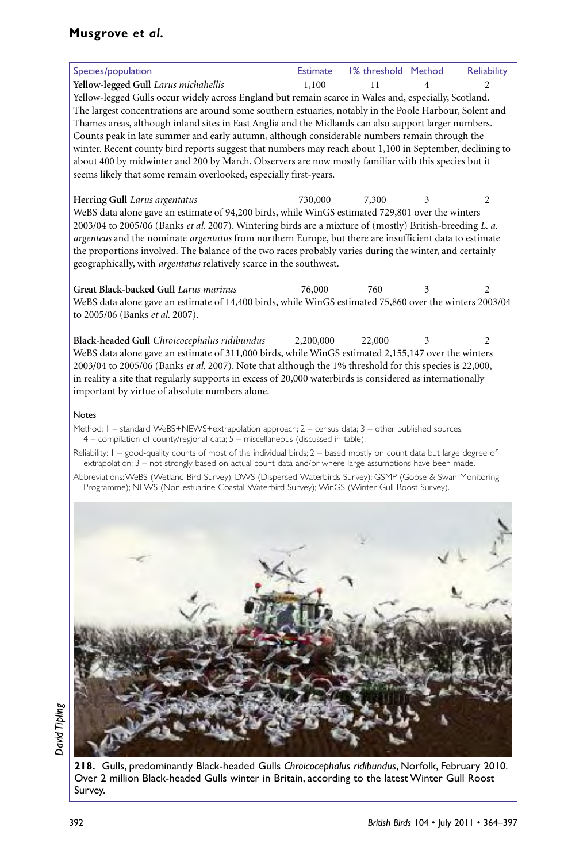## **Musgrove** *et al.*

| Species/population                                                                                                                                                                                                       | <b>Estimate</b> | 1% threshold Method |   | Reliability |
|--------------------------------------------------------------------------------------------------------------------------------------------------------------------------------------------------------------------------|-----------------|---------------------|---|-------------|
| Yellow-legged Gull Larus michahellis                                                                                                                                                                                     | 1,100           | 11                  |   | 2           |
| Yellow-legged Gulls occur widely across England but remain scarce in Wales and, especially, Scotland.<br>The largest concentrations are around some southern estuaries, notably in the Poole Harbour, Solent and         |                 |                     |   |             |
| Thames areas, although inland sites in East Anglia and the Midlands can also support larger numbers.                                                                                                                     |                 |                     |   |             |
| Counts peak in late summer and early autumn, although considerable numbers remain through the                                                                                                                            |                 |                     |   |             |
| winter. Recent county bird reports suggest that numbers may reach about 1,100 in September, declining to<br>about 400 by midwinter and 200 by March. Observers are now mostly familiar with this species but it          |                 |                     |   |             |
| seems likely that some remain overlooked, especially first-years.                                                                                                                                                        |                 |                     |   |             |
| Herring Gull Larus argentatus                                                                                                                                                                                            | 730,000         | 7,300               |   | 2           |
| WeBS data alone gave an estimate of 94,200 birds, while WinGS estimated 729,801 over the winters                                                                                                                         |                 |                     |   |             |
| 2003/04 to 2005/06 (Banks et al. 2007). Wintering birds are a mixture of (mostly) British-breeding L. a.<br>argenteus and the nominate argentatus from northern Europe, but there are insufficient data to estimate      |                 |                     |   |             |
| the proportions involved. The balance of the two races probably varies during the winter, and certainly                                                                                                                  |                 |                     |   |             |
| geographically, with argentatus relatively scarce in the southwest.                                                                                                                                                      |                 |                     |   |             |
| Great Black-backed Gull Larus marinus                                                                                                                                                                                    | 76,000          | 760                 | 3 | 2           |
| WeBS data alone gave an estimate of 14,400 birds, while WinGS estimated 75,860 over the winters 2003/04                                                                                                                  |                 |                     |   |             |
| to 2005/06 (Banks <i>et al.</i> 2007).                                                                                                                                                                                   |                 |                     |   |             |
| Black-headed Gull Chroicocephalus ridibundus                                                                                                                                                                             | 2,200,000       | 22,000              | 3 | 2           |
| WeBS data alone gave an estimate of 311,000 birds, while WinGS estimated 2,155,147 over the winters                                                                                                                      |                 |                     |   |             |
| 2003/04 to 2005/06 (Banks et al. 2007). Note that although the 1% threshold for this species is 22,000,                                                                                                                  |                 |                     |   |             |
| in reality a site that regularly supports in excess of 20,000 waterbirds is considered as internationally<br>important by virtue of absolute numbers alone.                                                              |                 |                     |   |             |
|                                                                                                                                                                                                                          |                 |                     |   |             |
| <b>Notes</b><br>Method: I - standard WeBS+NEWS+extrapolation approach; 2 - census data; 3 - other published sources;<br>4 - compilation of county/regional data; 5 - miscellaneous (discussed in table).                 |                 |                     |   |             |
| Reliability: I – good-quality counts of most of the individual birds; 2 – based mostly on count data but large degree of                                                                                                 |                 |                     |   |             |
| extrapolation; 3 – not strongly based on actual count data and/or where large assumptions have been made.<br>Abbreviations: WeBS (Wetland Bird Survey); DWS (Dispersed Waterbirds Survey); GSMP (Goose & Swan Monitoring |                 |                     |   |             |
| Programme); NEWS (Non-estuarine Coastal Waterbird Survey); WinGS (Winter Gull Roost Survey).                                                                                                                             |                 |                     |   |             |
|                                                                                                                                                                                                                          |                 |                     |   |             |
|                                                                                                                                                                                                                          |                 |                     |   |             |
|                                                                                                                                                                                                                          |                 |                     |   |             |
|                                                                                                                                                                                                                          |                 |                     |   |             |
|                                                                                                                                                                                                                          |                 |                     |   |             |
|                                                                                                                                                                                                                          |                 |                     |   |             |
|                                                                                                                                                                                                                          |                 |                     |   |             |
|                                                                                                                                                                                                                          |                 |                     |   |             |
|                                                                                                                                                                                                                          |                 |                     |   |             |
|                                                                                                                                                                                                                          |                 |                     |   |             |
|                                                                                                                                                                                                                          |                 |                     |   |             |
|                                                                                                                                                                                                                          |                 |                     |   |             |
|                                                                                                                                                                                                                          |                 |                     |   |             |
|                                                                                                                                                                                                                          |                 |                     |   |             |
|                                                                                                                                                                                                                          |                 |                     |   |             |
|                                                                                                                                                                                                                          |                 |                     |   |             |



**218.** Gulls, predominantly Black-headed Gulls *Chroicocephalus ridibundus*, Norfolk, February 2010. Over 2 million Black-headed Gulls winter in Britain, according to the latest Winter Gull Roost Survey.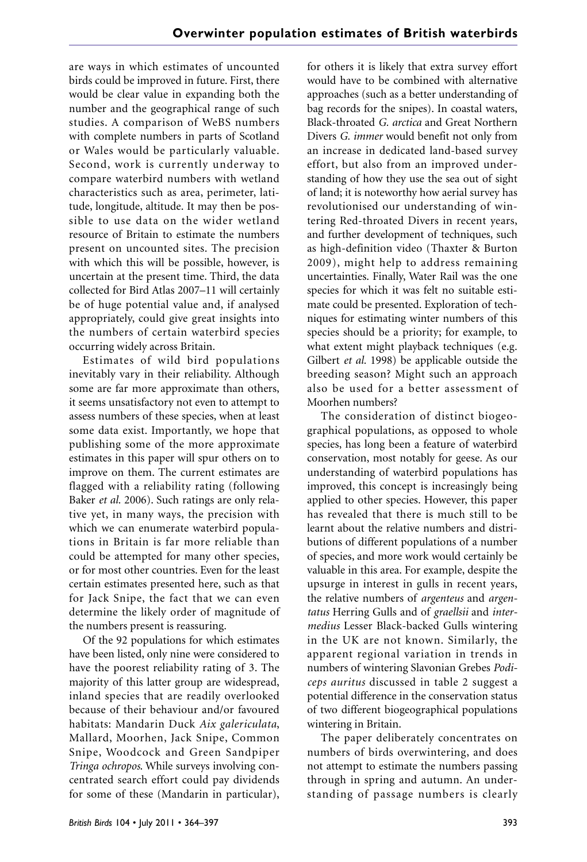are ways in which estimates of uncounted birds could be improved in future. First, there would be clear value in expanding both the number and the geographical range of such studies. A comparison of WeBS numbers with complete numbers in parts of Scotland or Wales would be particularly valuable. Second, work is currently underway to compare waterbird numbers with wetland characteristics such as area, perimeter, latitude, longitude, altitude. It may then be possible to use data on the wider wetland resource of Britain to estimate the numbers present on uncounted sites. The precision with which this will be possible, however, is uncertain at the present time. Third, the data collected for Bird Atlas 2007–11 will certainly be of huge potential value and, if analysed appropriately, could give great insights into the numbers of certain waterbird species occurring widely across Britain.

Estimates of wild bird populations inevitably vary in their reliability. Although some are far more approximate than others, it seems unsatisfactory not even to attempt to assess numbers of these species, when at least some data exist. Importantly, we hope that publishing some of the more approximate estimates in this paper will spur others on to improve on them. The current estimates are flagged with a reliability rating (following Baker *et al.* 2006). Such ratings are only relative yet, in many ways, the precision with which we can enumerate waterbird populations in Britain is far more reliable than could be attempted for many other species, or for most other countries. Even for the least certain estimates presented here, such as that for Jack Snipe, the fact that we can even determine the likely order of magnitude of the numbers present is reassuring.

Of the 92 populations for which estimates have been listed, only nine were considered to have the poorest reliability rating of 3. The majority of this latter group are widespread, inland species that are readily overlooked because of their behaviour and/or favoured habitats: Mandarin Duck *Aix galericulata*, Mallard, Moorhen, Jack Snipe, Common Snipe, Woodcock and Green Sandpiper *Tringa ochropos*. While surveys involving concentrated search effort could pay dividends for some of these (Mandarin in particular), for others it is likely that extra survey effort would have to be combined with alternative approaches (such as a better understanding of bag records for the snipes). In coastal waters, Black-throated *G. arctica* and Great Northern Divers *G. immer* would benefit not only from an increase in dedicated land-based survey effort, but also from an improved understanding of how they use the sea out of sight of land; it is noteworthy how aerial survey has revolutionised our understanding of wintering Red-throated Divers in recent years, and further development of techniques, such as high-definition video (Thaxter & Burton 2009), might help to address remaining uncertainties. Finally, Water Rail was the one species for which it was felt no suitable estimate could be presented. Exploration of techniques for estimating winter numbers of this species should be a priority; for example, to what extent might playback techniques (e.g. Gilbert *et al.* 1998) be applicable outside the breeding season? Might such an approach also be used for a better assessment of Moorhen numbers?

The consideration of distinct biogeographical populations, as opposed to whole species, has long been a feature of waterbird conservation, most notably for geese. As our understanding of waterbird populations has improved, this concept is increasingly being applied to other species. However, this paper has revealed that there is much still to be learnt about the relative numbers and distributions of different populations of a number of species, and more work would certainly be valuable in this area. For example, despite the upsurge in interest in gulls in recent years, the relative numbers of *argenteus* and *argentatus* Herring Gulls and of *graellsii* and *intermedius* Lesser Black-backed Gulls wintering in the UK are not known. Similarly, the apparent regional variation in trends in numbers of wintering Slavonian Grebes *Podiceps auritus* discussed in table 2 suggest a potential difference in the conservation status of two different biogeographical populations wintering in Britain.

The paper deliberately concentrates on numbers of birds overwintering, and does not attempt to estimate the numbers passing through in spring and autumn. An understanding of passage numbers is clearly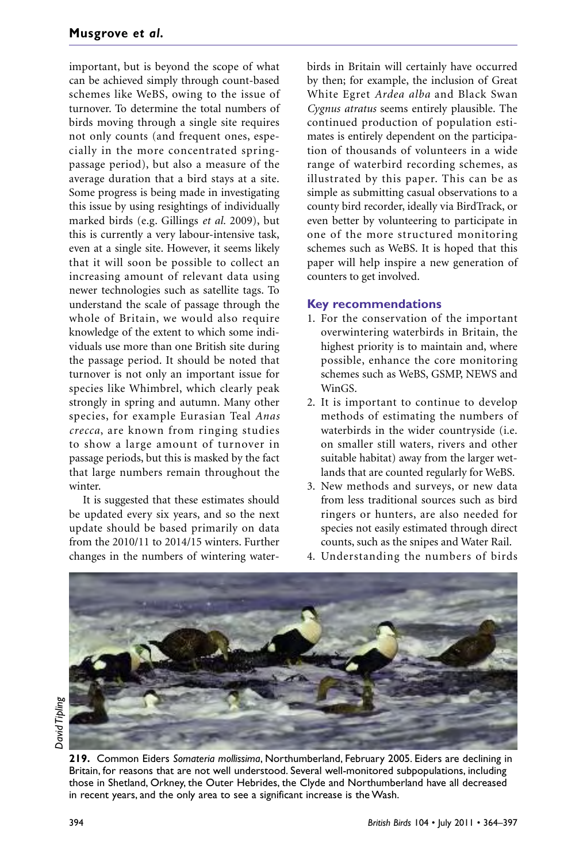important, but is beyond the scope of what can be achieved simply through count-based schemes like WeBS, owing to the issue of turnover. To determine the total numbers of birds moving through a single site requires not only counts (and frequent ones, especially in the more concentrated springpassage period), but also a measure of the average duration that a bird stays at a site. Some progress is being made in investigating this issue by using resightings of individually marked birds (e.g. Gillings *et al.* 2009), but this is currently a very labour-intensive task, even at a single site. However, it seems likely that it will soon be possible to collect an increasing amount of relevant data using newer technologies such as satellite tags. To understand the scale of passage through the whole of Britain, we would also require knowledge of the extent to which some individuals use more than one British site during the passage period. It should be noted that turnover is not only an important issue for species like Whimbrel, which clearly peak strongly in spring and autumn. Many other species, for example Eurasian Teal *Anas crecca*, are known from ringing studies to show a large amount of turnover in passage periods, but this is masked by the fact that large numbers remain throughout the winter.

It is suggested that these estimates should be updated every six years, and so the next update should be based primarily on data from the 2010/11 to 2014/15 winters. Further changes in the numbers of wintering waterbirds in Britain will certainly have occurred by then; for example, the inclusion of Great White Egret *Ardea alba* and Black Swan *Cygnus atratus* seems entirely plausible. The continued production of population estimates is entirely dependent on the participation of thousands of volunteers in a wide range of waterbird recording schemes, as illustrated by this paper. This can be as simple as submitting casual observations to a county bird recorder, ideally via BirdTrack, or even better by volunteering to participate in one of the more structured monitoring schemes such as WeBS. It is hoped that this paper will help inspire a new generation of counters to get involved.

#### **Key recommendations**

- 1. For the conservation of the important overwintering waterbirds in Britain, the highest priority is to maintain and, where possible, enhance the core monitoring schemes such as WeBS, GSMP, NEWS and WinGS.
- 2. It is important to continue to develop methods of estimating the numbers of waterbirds in the wider countryside (i.e. on smaller still waters, rivers and other suitable habitat) away from the larger wetlands that are counted regularly for WeBS.
- 3. New methods and surveys, or new data from less traditional sources such as bird ringers or hunters, are also needed for species not easily estimated through direct counts, such as the snipes and Water Rail.
- 4. Understanding the numbers of birds



**David Tipling** *David Tipling*

**219.** Common Eiders *Somateria mollissima*, Northumberland, February 2005. Eiders are declining in Britain, for reasons that are not well understood. Several well-monitored subpopulations, including those in Shetland, Orkney, the Outer Hebrides, the Clyde and Northumberland have all decreased in recent years, and the only area to see a significant increase is the Wash.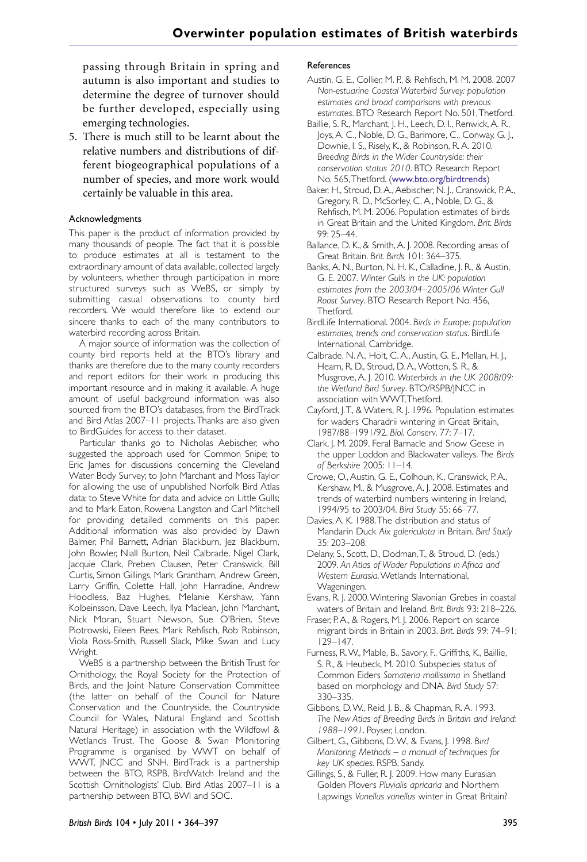passing through Britain in spring and autumn is also important and studies to determine the degree of turnover should be further developed, especially using emerging technologies.

5. There is much still to be learnt about the relative numbers and distributions of different biogeographical populations of a number of species, and more work would certainly be valuable in this area.

#### Acknowledgments

This paper is the product of information provided by many thousands of people. The fact that it is possible to produce estimates at all is testament to the extraordinary amount of data available, collected largely by volunteers, whether through participation in more structured surveys such as WeBS, or simply by submitting casual observations to county bird recorders. We would therefore like to extend our sincere thanks to each of the many contributors to waterbird recording across Britain.

A major source of information was the collection of county bird reports held at the BTO's library and thanks are therefore due to the many county recorders and report editors for their work in producing this important resource and in making it available. A huge amount of useful background information was also sourced from the BTO's databases, from the BirdTrack and Bird Atlas 2007–11 projects.Thanks are also given to BirdGuides for access to their dataset.

Particular thanks go to Nicholas Aebischer, who suggested the approach used for Common Snipe; to Eric James for discussions concerning the Cleveland Water Body Survey; to John Marchant and Moss Taylor for allowing the use of unpublished Norfolk Bird Atlas data; to Steve White for data and advice on Little Gulls; and to Mark Eaton, Rowena Langston and Carl Mitchell for providing detailed comments on this paper. Additional information was also provided by Dawn Balmer, Phil Barnett, Adrian Blackburn, Jez Blackburn, John Bowler, Niall Burton, Neil Calbrade, Nigel Clark, Jacquie Clark, Preben Clausen, Peter Cranswick, Bill Curtis, Simon Gillings, Mark Grantham, Andrew Green, Larry Griffin, Colette Hall, John Harradine, Andrew Hoodless, Baz Hughes, Melanie Kershaw, Yann Kolbeinsson, Dave Leech, Ilya Maclean, John Marchant, Nick Moran, Stuart Newson, Sue O'Brien, Steve Piotrowski, Eileen Rees, Mark Rehfisch, Rob Robinson, Viola Ross-Smith, Russell Slack, Mike Swan and Lucy Wright.

WeBS is a partnership between the British Trust for Ornithology, the Royal Society for the Protection of Birds, and the Joint Nature Conservation Committee (the latter on behalf of the Council for Nature Conservation and the Countryside, the Countryside Council for Wales, Natural England and Scottish Natural Heritage) in association with the Wildfowl & Wetlands Trust. The Goose & Swan Monitoring Programme is organised by WWT on behalf of WWT, JNCC and SNH. BirdTrack is a partnership between the BTO, RSPB, BirdWatch Ireland and the Scottish Ornithologists' Club. Bird Atlas 2007–11 is a partnership between BTO, BWI and SOC.

#### References

- Austin, G. E., Collier, M. P., & Rehfisch, M. M. 2008. 2007 *Non-estuarine Coastal Waterbird Survey: population estimates and broad comparisons with previous estimates*. BTO Research Report No. 501,Thetford.
- Baillie, S. R., Marchant, J. H., Leech, D. I., Renwick, A. R., Joys,A. C., Noble, D. G., Barimore, C., Conway, G. J., Downie, I. S., Risely, K., & Robinson, R.A. 2010. *Breeding Birds in the Wider Countryside: their conservation status 2010*. BTO Research Report No. 565,Thetford. (www.bto.org/birdtrends)
- Baker, H., Stroud, D.A.,Aebischer, N. J., Cranswick, P.A., Gregory, R. D., McSorley, C.A., Noble, D. G., & Rehfisch, M. M. 2006. Population estimates of birds in Great Britain and the United Kingdom. *Brit. Birds* 99: 25–44.
- Ballance, D. K., & Smith, A. J. 2008. Recording areas of Great Britain. *Brit. Birds* 101: 364–375.
- Banks, A. N., Burton, N. H. K., Calladine, J. R., & Austin, G. E. 2007. *Winter Gulls in the UK: population estimates from the 2003/04–2005/06 Winter Gull Roost Survey*. BTO Research Report No. 456, Thetford.
- BirdLife International. 2004. *Birds in Europe: population estimates, trends and conservation status*. BirdLife International, Cambridge.
- Calbrade, N.A., Holt, C.A.,Austin, G. E., Mellan, H. J., Hearn, R. D., Stroud, D.A.,Wotton, S. R., & Musgrove,A. J. 2010. *Waterbirds in the UK 2008/09: the Wetland Bird Survey*. BTO/RSPB/JNCC in association with WWT,Thetford.
- Cayford, J.T., & Waters, R. J. 1996. Population estimates for waders Charadrii wintering in Great Britain, 1987/88–1991/92. *Biol. Conserv*. 77: 7–17.
- Clark, J. M. 2009. Feral Barnacle and Snow Geese in the upper Loddon and Blackwater valleys. *The Birds of Berkshire* 2005: 11–14.
- Crowe, O.,Austin, G. E., Colhoun, K., Cranswick, P.A., Kershaw, M., & Musgrove, A. J. 2008. Estimates and trends of waterbird numbers wintering in Ireland, 1994/95 to 2003/04. *Bird Study* 55: 66–77.
- Davies,A. K. 1988.The distribution and status of Mandarin Duck *Aix galericulata* in Britain. *Bird Study* 35: 203–208.
- Delany, S., Scott, D., Dodman,T., & Stroud, D. (eds.) 2009. *An Atlas of Wader Populations in Africa and Western Eurasia*.Wetlands International, Wageningen.
- Evans, R. J. 2000.Wintering Slavonian Grebes in coastal waters of Britain and Ireland. *Brit. Birds* 93: 218–226.
- Fraser, P.A., & Rogers, M. J. 2006. Report on scarce migrant birds in Britain in 2003. *Brit. Birds* 99: 74–91;  $129 - 147$ .
- Furness, R.W., Mable, B., Savory, F., Griffiths, K., Baillie, S. R., & Heubeck, M. 2010. Subspecies status of Common Eiders *Somateria mollissima* in Shetland based on morphology and DNA. *Bird Study* 57: 330–335.
- Gibbons, D.W., Reid, J. B., & Chapman, R.A. 1993. *The New Atlas of Breeding Birds in Britain and Ireland: 1988–1991*. Poyser, London.
- Gilbert, G., Gibbons, D.W., & Evans, J. 1998. *Bird Monitoring Methods – a manual of techniques for key UK species*. RSPB, Sandy.
- Gillings, S., & Fuller, R. J. 2009. How many Eurasian Golden Plovers *Pluvialis apricaria* and Northern Lapwings *Vanellus vanellus* winter in Great Britain?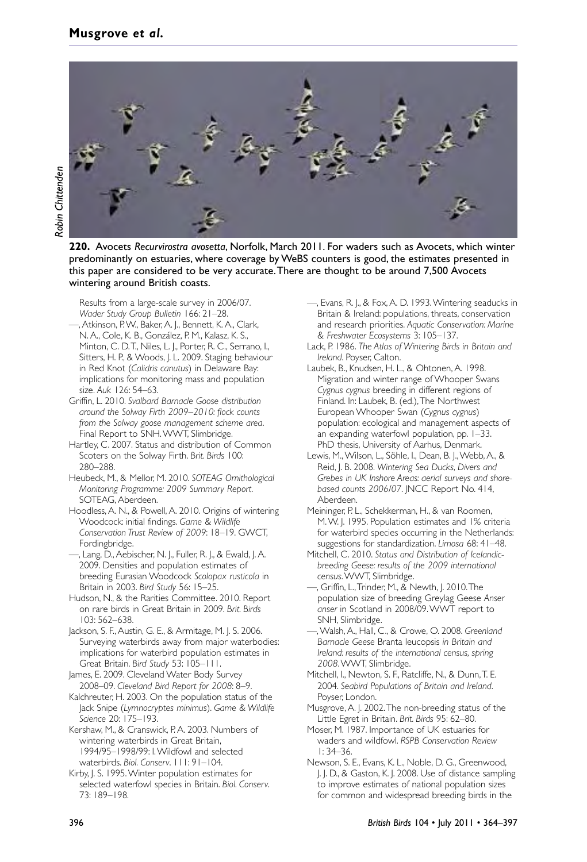

**220.** Avocets *Recurvirostra avosetta*, Norfolk, March 2011. For waders such as Avocets, which winter predominantly on estuaries, where coverage by WeBS counters is good, the estimates presented in this paper are considered to be very accurate.There are thought to be around 7,500 Avocets wintering around British coasts.

Results from a large-scale survey in 2006/07. *Wader Study Group Bulletin* 166: 21–28.

- —,Atkinson, P.W., Baker,A. J., Bennett, K.A., Clark, N.A., Cole, K. B., González, P. M., Kalasz, K. S., Minton, C. D.T., Niles, L. J., Porter, R. C., Serrano, I., Sitters, H. P., & Woods, J. L. 2009. Staging behaviour in Red Knot (*Calidris canutus*) in Delaware Bay: implications for monitoring mass and population size. *Auk* 126: 54–63.
- Griffin, L. 2010. *Svalbard Barnacle Goose distribution around the Solway Firth 2009–2010: flock counts from the Solway goose management scheme area*. Final Report to SNH.WWT, Slimbridge.
- Hartley, C. 2007. Status and distribution of Common Scoters on the Solway Firth. *Brit. Birds* 100: 280–288.
- Heubeck, M., & Mellor, M. 2010. *SOTEAG Ornithological Monitoring Programme: 2009 Summary Report*. SOTEAG, Aberdeen.
- Hoodless,A. N., & Powell,A. 2010. Origins of wintering Woodcock: initial findings. *Game & Wildlife Conservation Trust Review of 2009*: 18–19. GWCT, Fordingbridge.
- ––, Lang, D.,Aebischer, N. J., Fuller, R. J., & Ewald, J.A. 2009. Densities and population estimates of breeding Eurasian Woodcock *Scolopax rusticola* in Britain in 2003. *Bird Study* 56: 15–25.
- Hudson, N., & the Rarities Committee. 2010. Report on rare birds in Great Britain in 2009. *Brit. Birds* 103: 562–638.

Jackson, S. F., Austin, G. E., & Armitage, M. J. S. 2006. Surveying waterbirds away from major waterbodies: implications for waterbird population estimates in Great Britain. *Bird Study* 53: 105–111.

James, E. 2009. Cleveland Water Body Survey 2008–09. *Cleveland Bird Report for 2008*: 8–9.

Kalchreuter, H. 2003. On the population status of the Jack Snipe (*Lymnocryptes minimus*). *Game & Wildlife Science* 20: 175–193.

Kershaw, M., & Cranswick, P.A. 2003. Numbers of wintering waterbirds in Great Britain, 1994/95–1998/99: I.Wildfowl and selected waterbirds. *Biol. Conserv*. 111: 91–104.

Kirby, J. S. 1995. Winter population estimates for selected waterfowl species in Britain. *Biol. Conserv*. 73: 189–198.

- —, Evans, R. J., & Fox,A. D. 1993.Wintering seaducks in Britain & Ireland: populations, threats, conservation and research priorities. *Aquatic Conservation: Marine & Freshwater Ecosystems* 3: 105–137.
- Lack, P. 1986. *The Atlas of Wintering Birds in Britain and Ireland*. Poyser, Calton.
- Laubek, B., Knudsen, H. L., & Ohtonen, A. 1998. Migration and winter range of Whooper Swans *Cygnus cygnus* breeding in different regions of Finland. In: Laubek, B. (ed.),The Northwest European Whooper Swan (*Cygnus cygnus*) population: ecological and management aspects of an expanding waterfowl population, pp. 1–33. PhD thesis, University of Aarhus, Denmark.
- Lewis, M.,Wilson, L., Söhle, I., Dean, B. J.,Webb,A., & Reid, J. B. 2008. *Wintering Sea Ducks, Divers and Grebes in UK Inshore Areas: aerial surveys and shorebased counts 2006/07*. JNCC Report No. 414, Aberdeen.
- Meininger, P. L., Schekkerman, H., & van Roomen, M.W. J. 1995. Population estimates and 1% criteria for waterbird species occurring in the Netherlands: suggestions for standardization. *Limosa* 68: 41–48.
- Mitchell, C. 2010. *Status and Distribution of Icelandicbreeding Geese: results of the 2009 international census*.WWT, Slimbridge.
- —, Griffin, L.,Trinder, M., & Newth, J. 2010.The population size of breeding Greylag Geese *Anser anser* in Scotland in 2008/09.WWT report to SNH, Slimbridge.
- —,Walsh,A., Hall, C., & Crowe, O. 2008. *Greenland Barnacle Geese* Branta leucopsis *in Britain and Ireland: results of the international census, spring 2008*.WWT, Slimbridge.
- Mitchell, I., Newton, S. F., Ratcliffe, N., & Dunn,T. E. 2004. *Seabird Populations of Britain and Ireland*. Poyser, London.
- Musgrove,A. J. 2002.The non-breeding status of the Little Egret in Britain. *Brit. Birds* 95: 62–80.
- Moser, M. 1987. Importance of UK estuaries for waders and wildfowl. *RSPB Conservation Review* 1: 34–36.

Newson, S. E., Evans, K. L., Noble, D. G., Greenwood, J. J. D., & Gaston, K. J. 2008. Use of distance sampling to improve estimates of national population sizes for common and widespread breeding birds in the